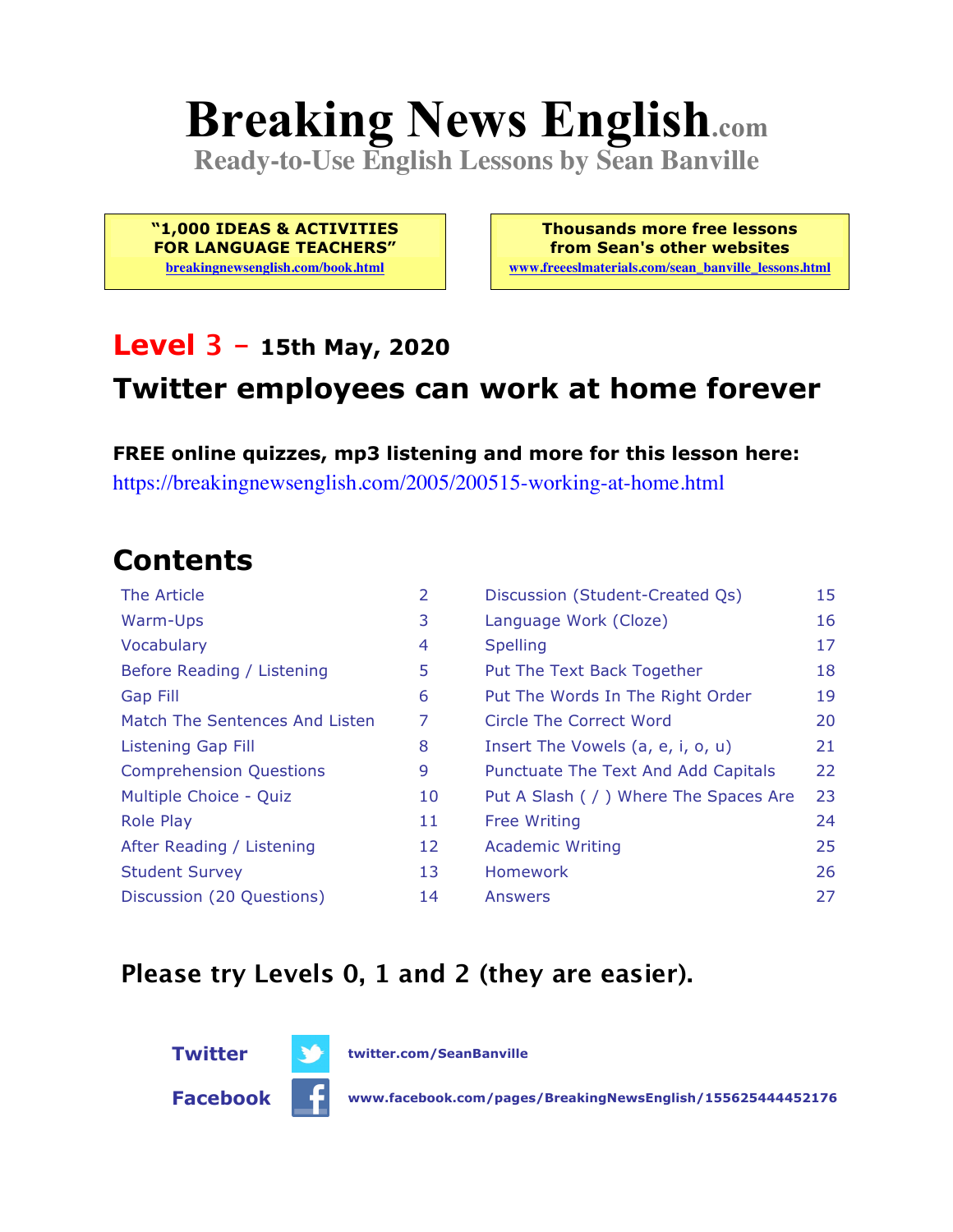# **Breaking News English.com**

**Ready-to-Use English Lessons by Sean Banville**

**"1,000 IDEAS & ACTIVITIES FOR LANGUAGE TEACHERS"**

**breakingnewsenglish.com/book.html**

**Thousands more free lessons from Sean's other websites www.freeeslmaterials.com/sean\_banville\_lessons.html**

#### **Level 3 - 15th May, 2020**

#### **Twitter employees can work at home forever**

**FREE online quizzes, mp3 listening and more for this lesson here:** https://breakingnewsenglish.com/2005/200515-working-at-home.html

#### **Contents**

| The Article                    | 2  | Discussion (Student-Created Qs)        | 15 |
|--------------------------------|----|----------------------------------------|----|
| Warm-Ups                       | 3  | Language Work (Cloze)                  | 16 |
| Vocabulary                     | 4  | <b>Spelling</b>                        | 17 |
| Before Reading / Listening     | 5  | Put The Text Back Together             | 18 |
| <b>Gap Fill</b>                | 6  | Put The Words In The Right Order       | 19 |
| Match The Sentences And Listen | 7  | Circle The Correct Word                | 20 |
| Listening Gap Fill             | 8  | Insert The Vowels (a, e, i, o, u)      | 21 |
| <b>Comprehension Questions</b> | 9  | Punctuate The Text And Add Capitals    | 22 |
| Multiple Choice - Quiz         | 10 | Put A Slash ( / ) Where The Spaces Are | 23 |
| <b>Role Play</b>               | 11 | <b>Free Writing</b>                    | 24 |
| After Reading / Listening      | 12 | <b>Academic Writing</b>                | 25 |
| <b>Student Survey</b>          | 13 | Homework                               | 26 |
| Discussion (20 Questions)      | 14 | Answers                                | 27 |

#### **Please try Levels 0, 1 and 2 (they are easier).**





**Facebook www.facebook.com/pages/BreakingNewsEnglish/155625444452176**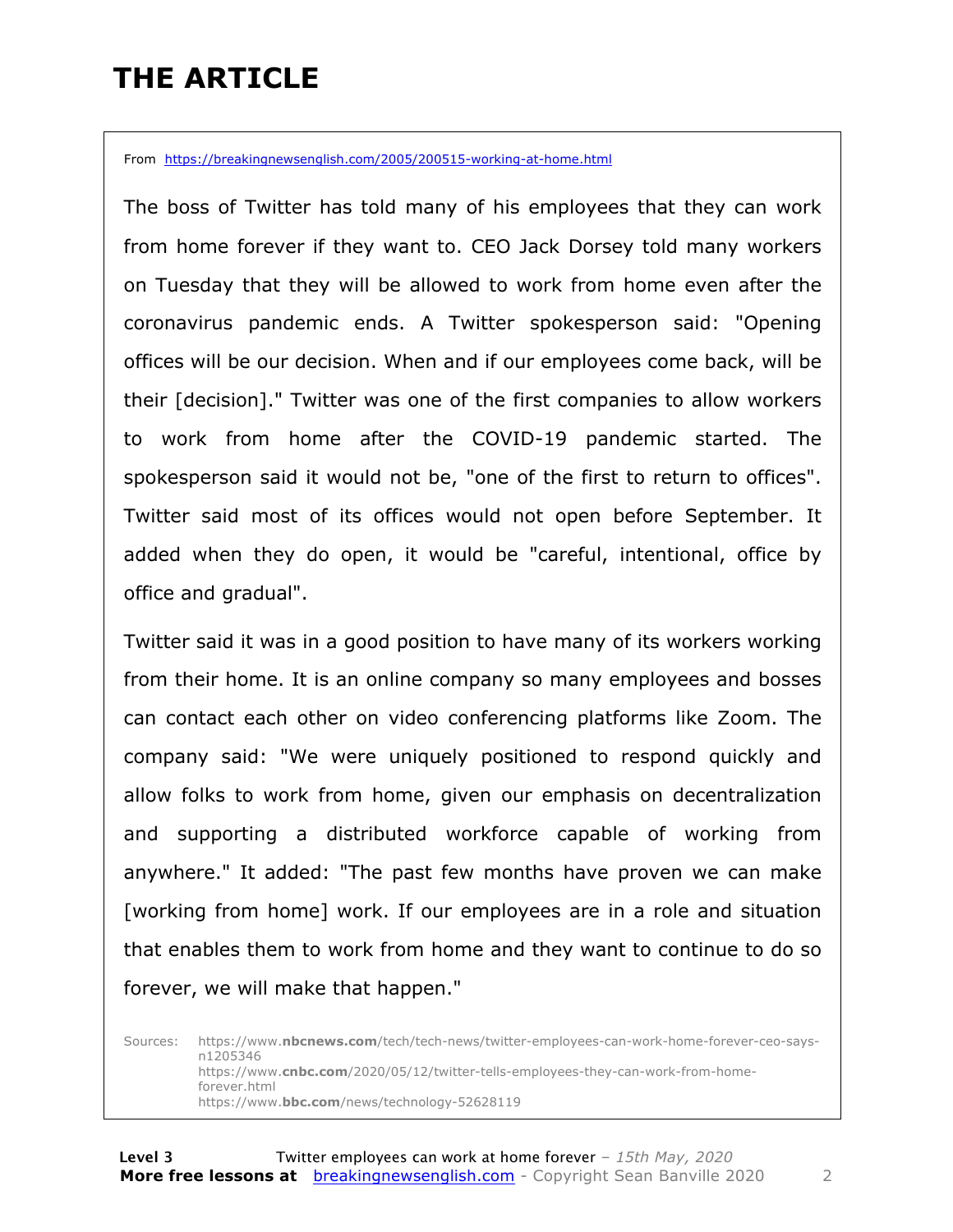### **THE ARTICLE**

From https://breakingnewsenglish.com/2005/200515-working-at-home.html

The boss of Twitter has told many of his employees that they can work from home forever if they want to. CEO Jack Dorsey told many workers on Tuesday that they will be allowed to work from home even after the coronavirus pandemic ends. A Twitter spokesperson said: "Opening offices will be our decision. When and if our employees come back, will be their [decision]." Twitter was one of the first companies to allow workers to work from home after the COVID-19 pandemic started. The spokesperson said it would not be, "one of the first to return to offices". Twitter said most of its offices would not open before September. It added when they do open, it would be "careful, intentional, office by office and gradual".

Twitter said it was in a good position to have many of its workers working from their home. It is an online company so many employees and bosses can contact each other on video conferencing platforms like Zoom. The company said: "We were uniquely positioned to respond quickly and allow folks to work from home, given our emphasis on decentralization and supporting a distributed workforce capable of working from anywhere." It added: "The past few months have proven we can make [working from home] work. If our employees are in a role and situation that enables them to work from home and they want to continue to do so forever, we will make that happen."

Sources: https://www.**nbcnews.com**/tech/tech-news/twitter-employees-can-work-home-forever-ceo-saysn1205346 https://www.**cnbc.com**/2020/05/12/twitter-tells-employees-they-can-work-from-homeforever.html https://www.**bbc.com**/news/technology-52628119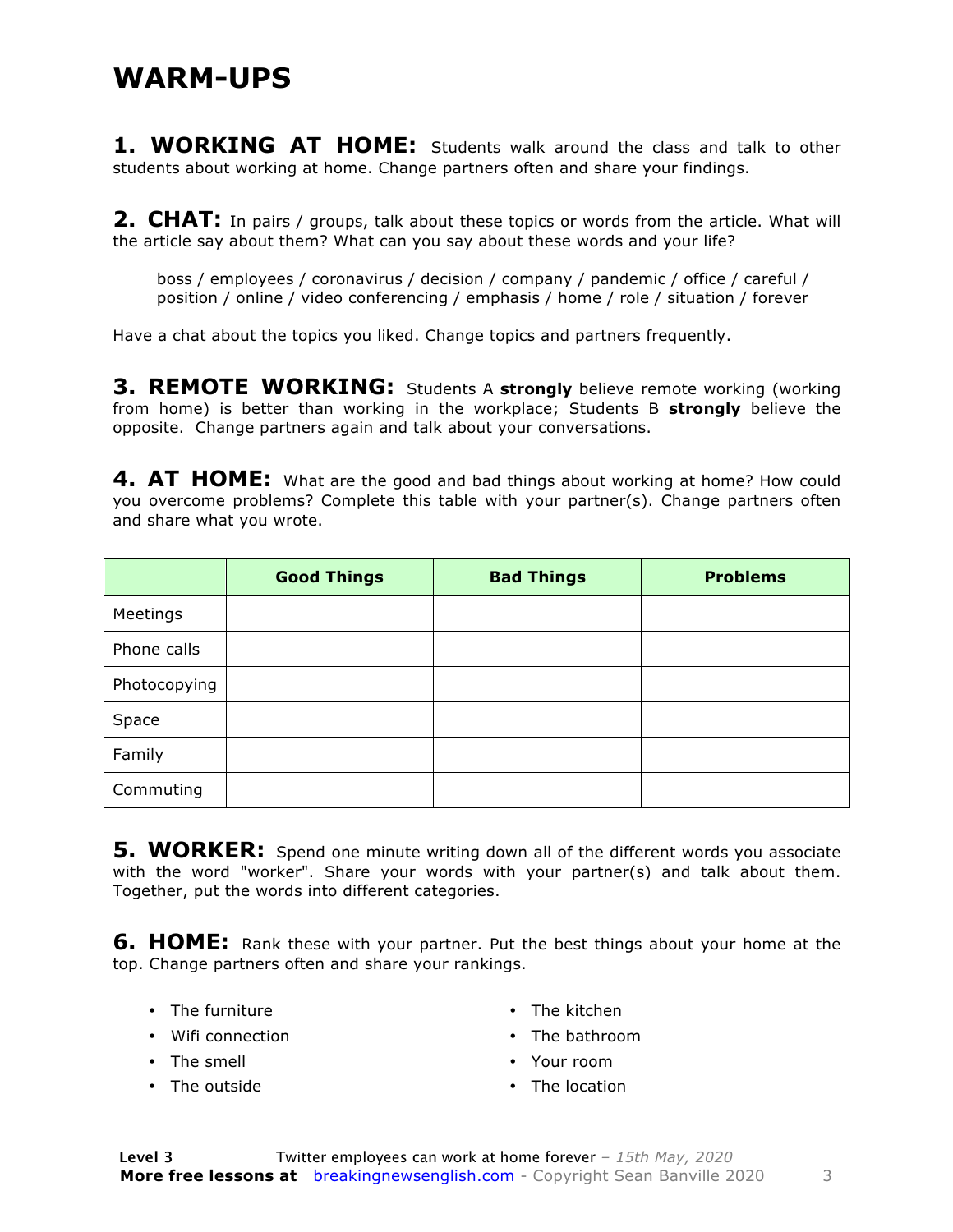1. WORKING AT HOME: Students walk around the class and talk to other students about working at home. Change partners often and share your findings.

**2. CHAT:** In pairs / groups, talk about these topics or words from the article. What will the article say about them? What can you say about these words and your life?

boss / employees / coronavirus / decision / company / pandemic / office / careful / position / online / video conferencing / emphasis / home / role / situation / forever

Have a chat about the topics you liked. Change topics and partners frequently.

**3. REMOTE WORKING:** Students A **strongly** believe remote working (working from home) is better than working in the workplace; Students B **strongly** believe the opposite. Change partners again and talk about your conversations.

**4. AT HOME:** What are the good and bad things about working at home? How could you overcome problems? Complete this table with your partner(s). Change partners often and share what you wrote.

|              | <b>Good Things</b> | <b>Bad Things</b> | <b>Problems</b> |
|--------------|--------------------|-------------------|-----------------|
| Meetings     |                    |                   |                 |
| Phone calls  |                    |                   |                 |
| Photocopying |                    |                   |                 |
| Space        |                    |                   |                 |
| Family       |                    |                   |                 |
| Commuting    |                    |                   |                 |

**5. WORKER:** Spend one minute writing down all of the different words you associate with the word "worker". Share your words with your partner(s) and talk about them. Together, put the words into different categories.

**6. HOME:** Rank these with your partner. Put the best things about your home at the top. Change partners often and share your rankings.

- The furniture
- Wifi connection
- The smell
- The outside
- The kitchen
- The bathroom
- Your room
- The location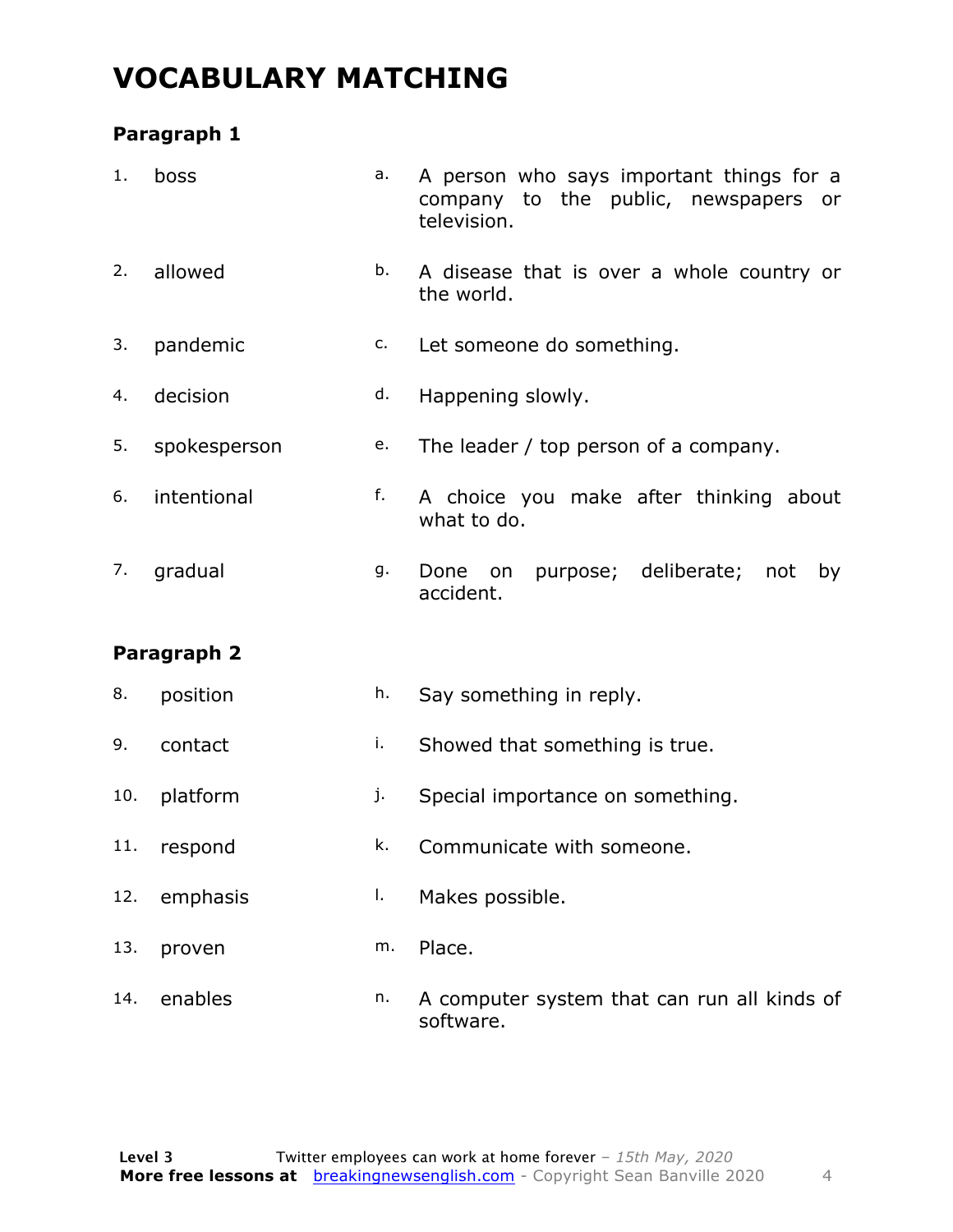#### **VOCABULARY MATCHING**

#### **Paragraph 1**

| 1.  | boss         | a. | A person who says important things for a<br>company to the public, newspapers or<br>television. |  |  |  |
|-----|--------------|----|-------------------------------------------------------------------------------------------------|--|--|--|
| 2.  | allowed      | b. | A disease that is over a whole country or<br>the world.                                         |  |  |  |
| 3.  | pandemic     | c. | Let someone do something.                                                                       |  |  |  |
| 4.  | decision     | d. | Happening slowly.                                                                               |  |  |  |
| 5.  | spokesperson | e. | The leader / top person of a company.                                                           |  |  |  |
| 6.  | intentional  | f. | A choice you make after thinking about<br>what to do.                                           |  |  |  |
| 7.  | gradual      | g. | purpose; deliberate;<br>Done<br>not<br>on<br>by<br>accident.                                    |  |  |  |
|     | Paragraph 2  |    |                                                                                                 |  |  |  |
| 8.  | position     | h. | Say something in reply.                                                                         |  |  |  |
| 9.  | contact      | i. | Showed that something is true.                                                                  |  |  |  |
| 10. | platform     | j. | Special importance on something.                                                                |  |  |  |
| 11. | respond      | k. | Communicate with someone.                                                                       |  |  |  |
| 12. | emphasis     | Ι. | Makes possible.                                                                                 |  |  |  |
| 13. | proven       | m. | Place.                                                                                          |  |  |  |
| 14. | enables      | n. | A computer system that can run all kinds of<br>software.                                        |  |  |  |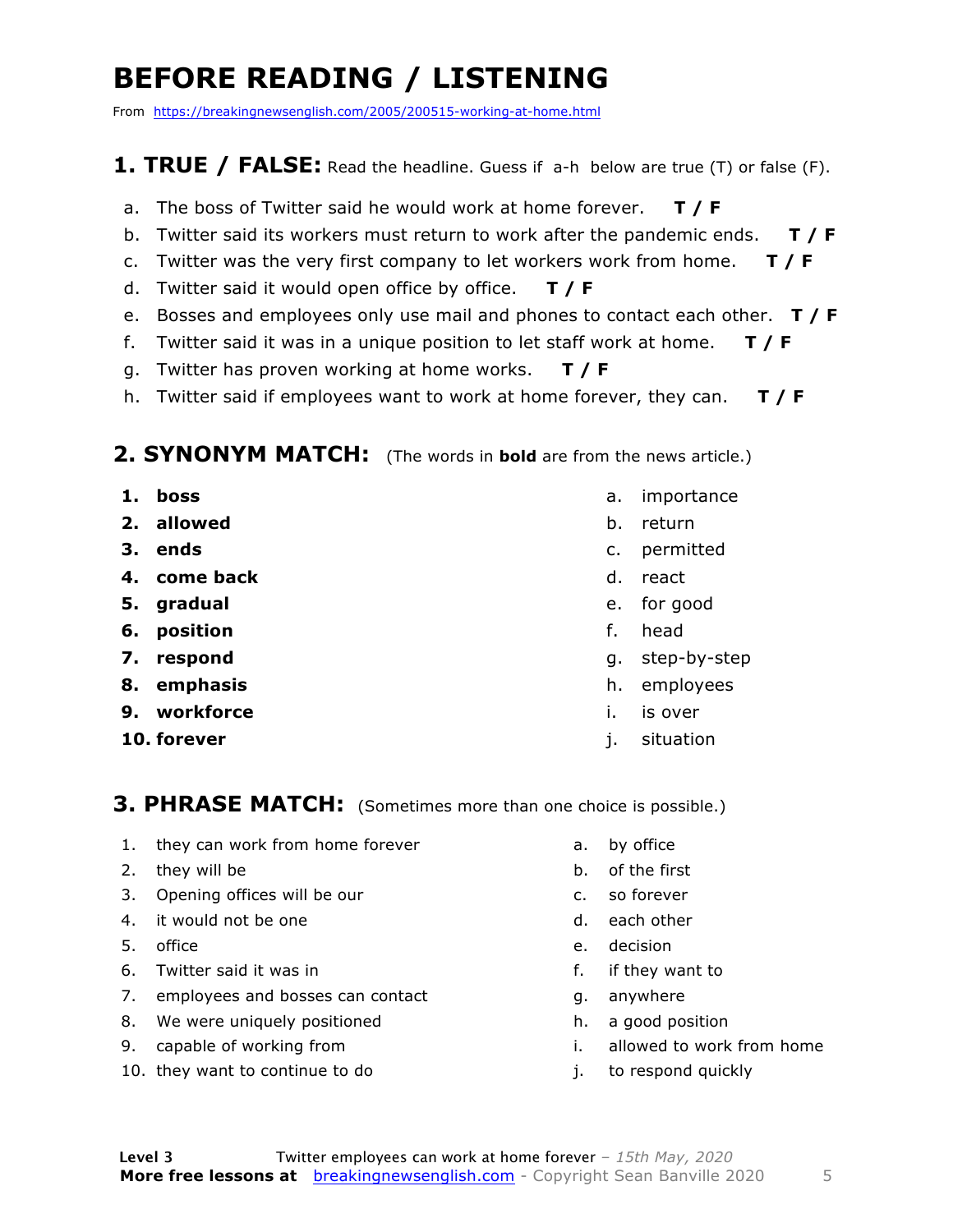### **BEFORE READING / LISTENING**

From https://breakingnewsenglish.com/2005/200515-working-at-home.html

#### **1. TRUE / FALSE:** Read the headline. Guess if a-h below are true (T) or false (F).

- a. The boss of Twitter said he would work at home forever. **T / F**
- b. Twitter said its workers must return to work after the pandemic ends. **T / F**
- c. Twitter was the very first company to let workers work from home. **T / F**
- d. Twitter said it would open office by office. **T / F**
- e. Bosses and employees only use mail and phones to contact each other. **T / F**
- f. Twitter said it was in a unique position to let staff work at home. **T / F**
- g. Twitter has proven working at home works. **T / F**
- h. Twitter said if employees want to work at home forever, they can. **T / F**

#### **2. SYNONYM MATCH:** (The words in **bold** are from the news article.)

- **1. boss**
- **2. allowed**
- **3. ends**
- **4. come back**
- **5. gradual**
- **6. position**
- **7. respond**
- **8. emphasis**
- **9. workforce**
- **10. forever**
- a. importance
- b. return
- c. permitted
- d. react
- e. for good
- f. head
- g. step-by-step
- h. employees
- i. is over
- j. situation

**3. PHRASE MATCH:** (Sometimes more than one choice is possible.)

- 1. they can work from home forever
- 2. they will be
- 3. Opening offices will be our
- 4. it would not be one
- 5. office
- 6. Twitter said it was in
- 7. employees and bosses can contact
- 8. We were uniquely positioned
- 9. capable of working from
- 10. they want to continue to do
- a. by office
- b. of the first
- c. so forever
- d. each other
- e. decision
- f. if they want to
- g. anywhere
- h. a good position
- i. allowed to work from home
- j. to respond quickly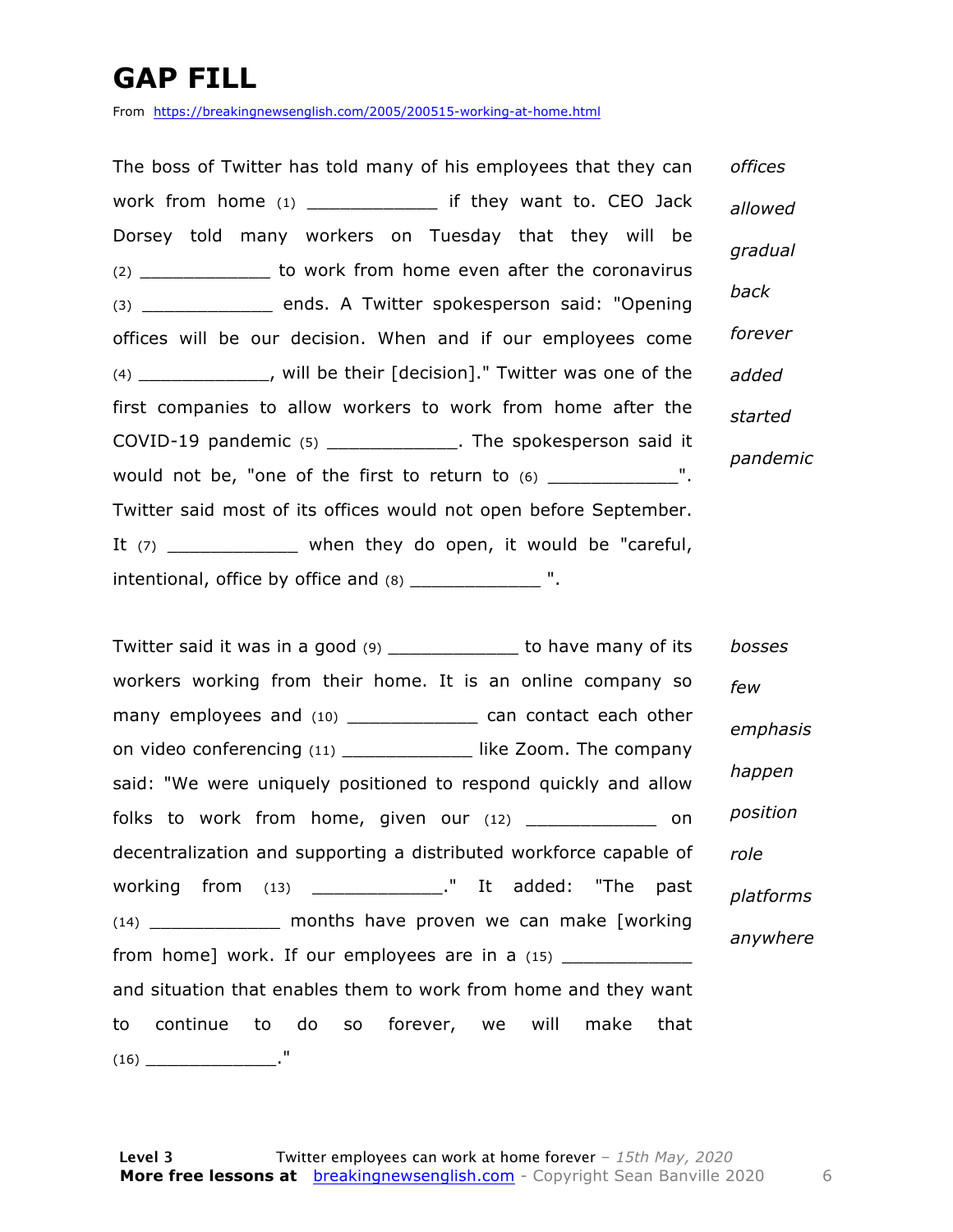### **GAP FILL**

From https://breakingnewsenglish.com/2005/200515-working-at-home.html

The boss of Twitter has told many of his employees that they can work from home (1) \_\_\_\_\_\_\_\_\_\_\_\_ if they want to. CEO Jack Dorsey told many workers on Tuesday that they will be (2) \_\_\_\_\_\_\_\_\_\_\_\_ to work from home even after the coronavirus (3) \_\_\_\_\_\_\_\_\_\_\_\_ ends. A Twitter spokesperson said: "Opening offices will be our decision. When and if our employees come (4) \_\_\_\_\_\_\_\_\_\_\_\_, will be their [decision]." Twitter was one of the first companies to allow workers to work from home after the COVID-19 pandemic (5) \_\_\_\_\_\_\_\_\_\_\_\_. The spokesperson said it would not be, "one of the first to return to (6) \_\_\_\_\_\_\_\_\_\_\_\_\_\_". Twitter said most of its offices would not open before September. It  $(7)$  \_\_\_\_\_\_\_\_\_\_\_\_\_ when they do open, it would be "careful,  $intentional$ , office by office and  $(8)$  \_\_\_\_\_\_\_\_\_\_\_\_\_\_ ". *offices allowed gradual back forever added started pandemic*

Twitter said it was in a good (9) \_\_\_\_\_\_\_\_\_\_\_\_ to have many of its workers working from their home. It is an online company so many employees and (10) \_\_\_\_\_\_\_\_\_\_\_\_\_\_ can contact each other on video conferencing (11) \_\_\_\_\_\_\_\_\_\_\_\_ like Zoom. The company said: "We were uniquely positioned to respond quickly and allow folks to work from home, given our  $(12)$  \_\_\_\_\_\_\_\_\_\_\_\_ on decentralization and supporting a distributed workforce capable of working from (13) \_\_\_\_\_\_\_\_\_\_\_\_." It added: "The past (14) \_\_\_\_\_\_\_\_\_\_\_\_ months have proven we can make [working from home] work. If our employees are in a  $(15)$ and situation that enables them to work from home and they want to continue to do so forever, we will make that  $(16)$   $\blacksquare$ *bosses few emphasis happen position role platforms anywhere*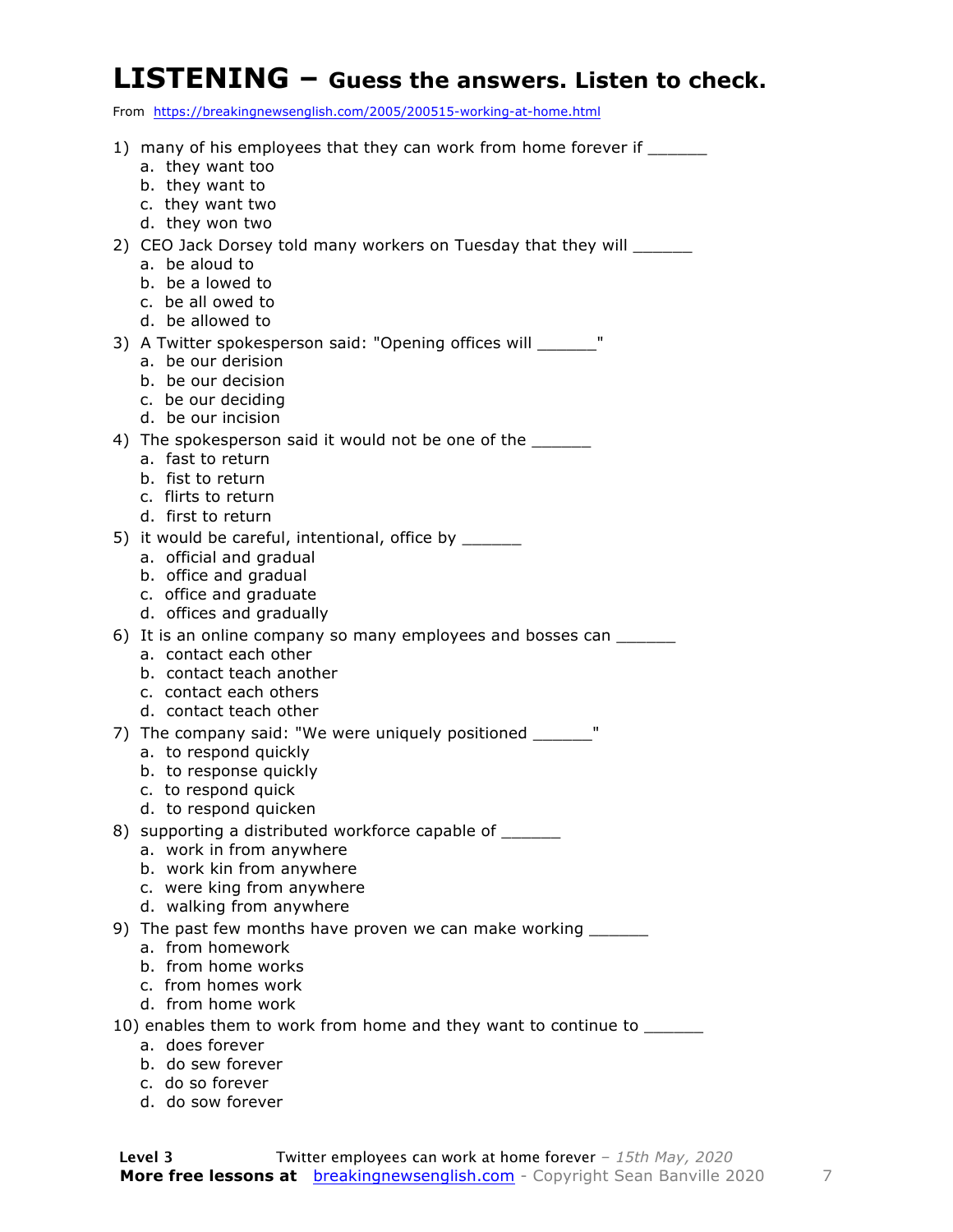#### **LISTENING – Guess the answers. Listen to check.**

From https://breakingnewsenglish.com/2005/200515-working-at-home.html

| 1) many of his employees that they can work from home forever if _______<br>a. they want too<br>b. they want to<br>c. they want two                                         |
|-----------------------------------------------------------------------------------------------------------------------------------------------------------------------------|
| d. they won two<br>2) CEO Jack Dorsey told many workers on Tuesday that they will _______<br>a. be aloud to<br>b. be a lowed to<br>c. be all owed to<br>d. be allowed to    |
| 3) A Twitter spokesperson said: "Opening offices will _______"<br>a. be our derision<br>b. be our decision<br>c. be our deciding<br>d. be our incision                      |
| 4) The spokesperson said it would not be one of the<br>a. fast to return<br>b. fist to return<br>c. flirts to return<br>d. first to return                                  |
| 5) it would be careful, intentional, office by _______<br>a. official and gradual<br>b. office and gradual<br>c. office and graduate<br>d. offices and gradually            |
| 6) It is an online company so many employees and bosses can ______<br>a. contact each other<br>b. contact teach another<br>c. contact each others<br>d. contact teach other |
| 7) The company said: "We were uniquely positioned _______"<br>a. to respond quickly<br>b. to response quickly<br>c. to respond quick<br>d. to respond quicken               |
| 8) supporting a distributed workforce capable of ______<br>a. work in from anywhere<br>b. work kin from anywhere<br>c. were king from anywhere<br>d. walking from anywhere  |
| 9) The past few months have proven we can make working _______<br>a. from homework<br>b. from home works<br>c. from homes work<br>d. from home work                         |
| 10) enables them to work from home and they want to continue to ______<br>a. does forever<br>b. do sew forever<br>c. do so forever                                          |

d. do sow forever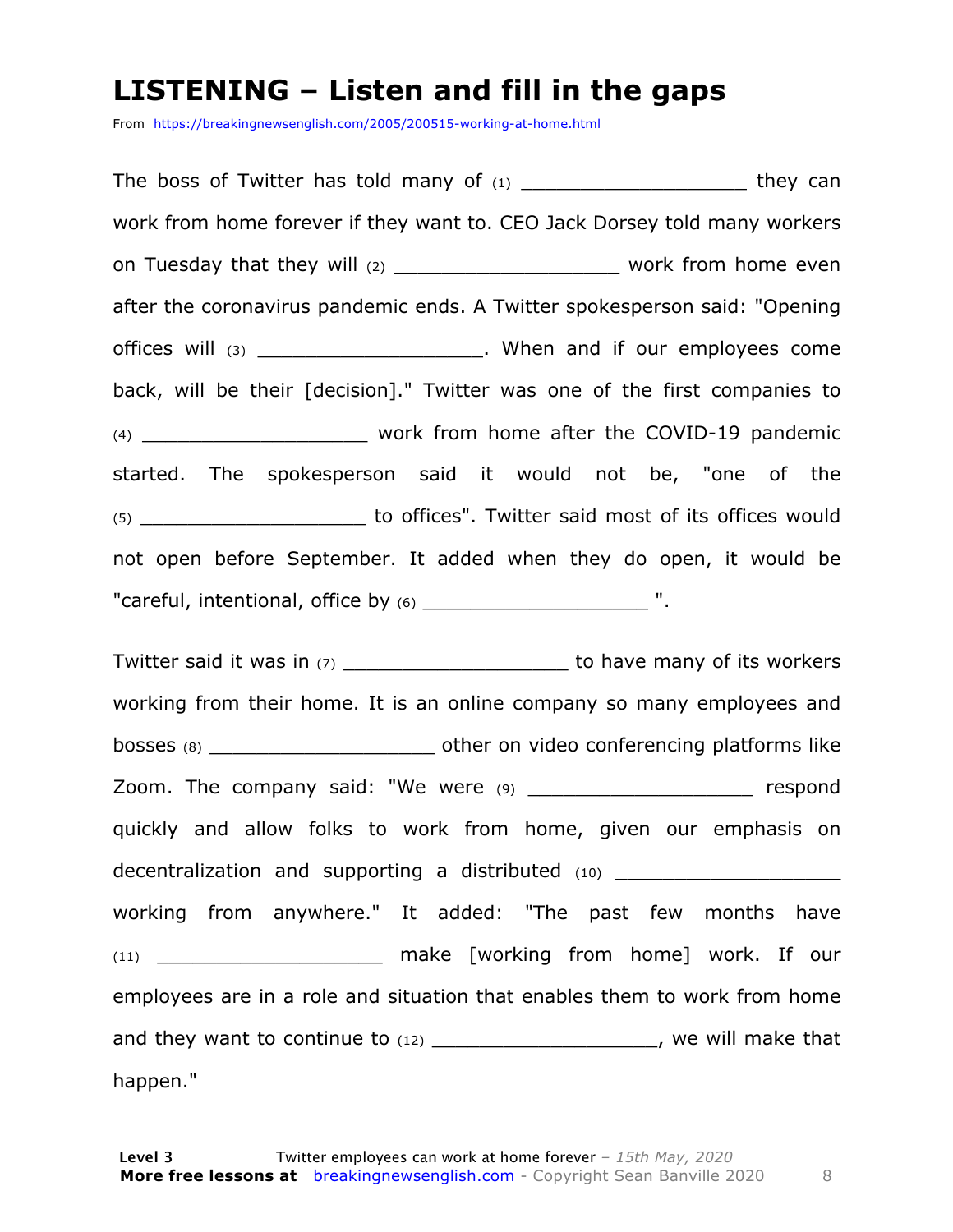#### **LISTENING – Listen and fill in the gaps**

From https://breakingnewsenglish.com/2005/200515-working-at-home.html

The boss of Twitter has told many of  $(1)$  example they can work from home forever if they want to. CEO Jack Dorsey told many workers on Tuesday that they will (2) example 1 and the work from home even after the coronavirus pandemic ends. A Twitter spokesperson said: "Opening offices will (3) \_\_\_\_\_\_\_\_\_\_\_\_\_\_\_\_\_\_\_\_\_\_\_. When and if our employees come back, will be their [decision]." Twitter was one of the first companies to (4) **Example 2 and South Street Work from home after the COVID-19 pandemic** started. The spokesperson said it would not be, "one of the (5) \_\_\_\_\_\_\_\_\_\_\_\_\_\_\_\_\_\_\_ to offices". Twitter said most of its offices would not open before September. It added when they do open, it would be "careful, intentional, office by (6) The matrix of the set of the set of the set of the set of the set of the s

Twitter said it was in (7) Twitter said it was in (7) working from their home. It is an online company so many employees and bosses (8) bosses (8) bosses (8) Zoom. The company said: "We were (9) The many respond quickly and allow folks to work from home, given our emphasis on decentralization and supporting a distributed (10) working from anywhere." It added: "The past few months have (11) **the make [working from home] work. If our** employees are in a role and situation that enables them to work from home and they want to continue to  $(12)$  \_\_\_\_\_\_\_\_\_\_\_\_\_\_\_\_\_\_\_\_\_, we will make that happen."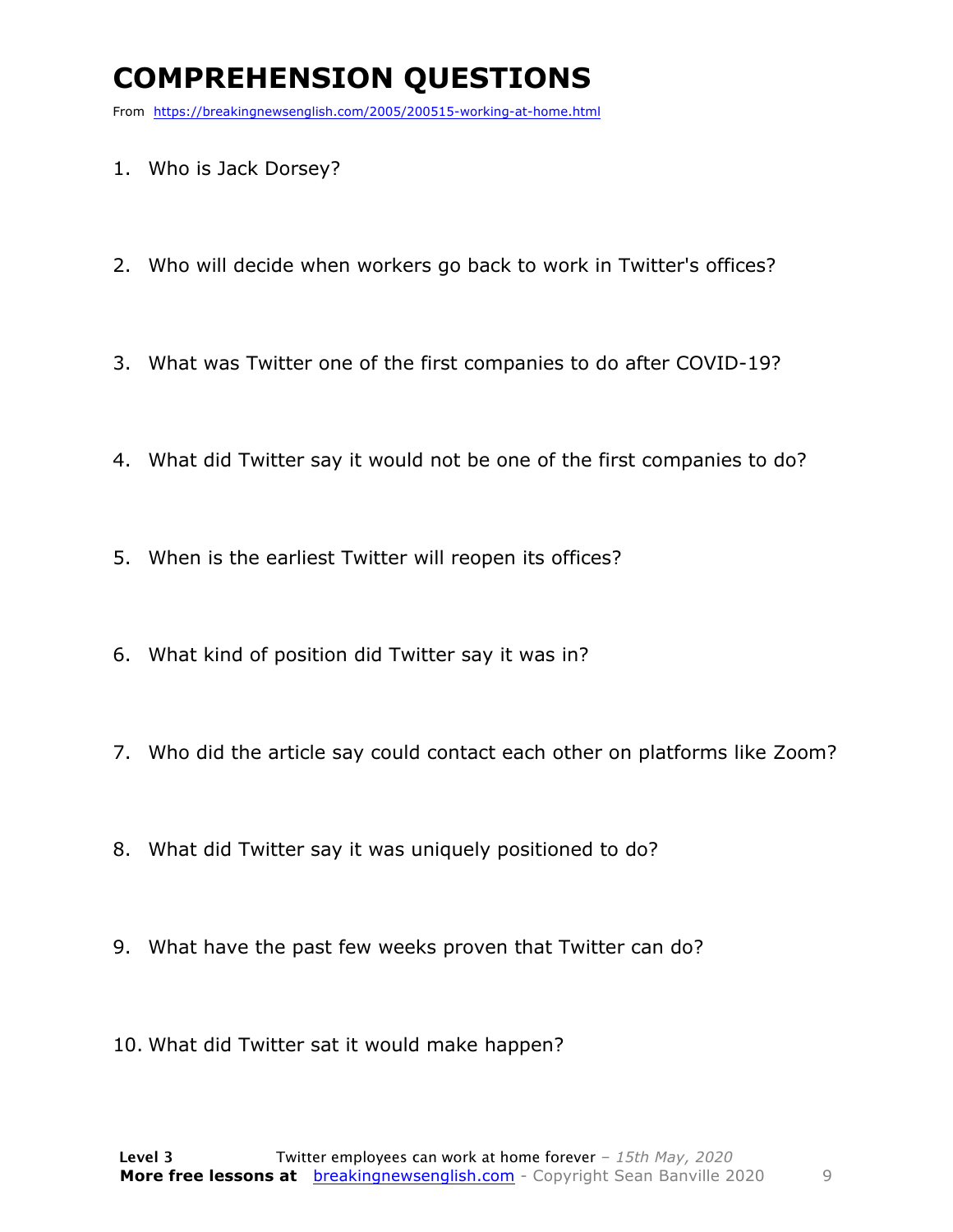### **COMPREHENSION QUESTIONS**

From https://breakingnewsenglish.com/2005/200515-working-at-home.html

- 1. Who is Jack Dorsey?
- 2. Who will decide when workers go back to work in Twitter's offices?
- 3. What was Twitter one of the first companies to do after COVID-19?
- 4. What did Twitter say it would not be one of the first companies to do?
- 5. When is the earliest Twitter will reopen its offices?
- 6. What kind of position did Twitter say it was in?
- 7. Who did the article say could contact each other on platforms like Zoom?
- 8. What did Twitter say it was uniquely positioned to do?
- 9. What have the past few weeks proven that Twitter can do?
- 10. What did Twitter sat it would make happen?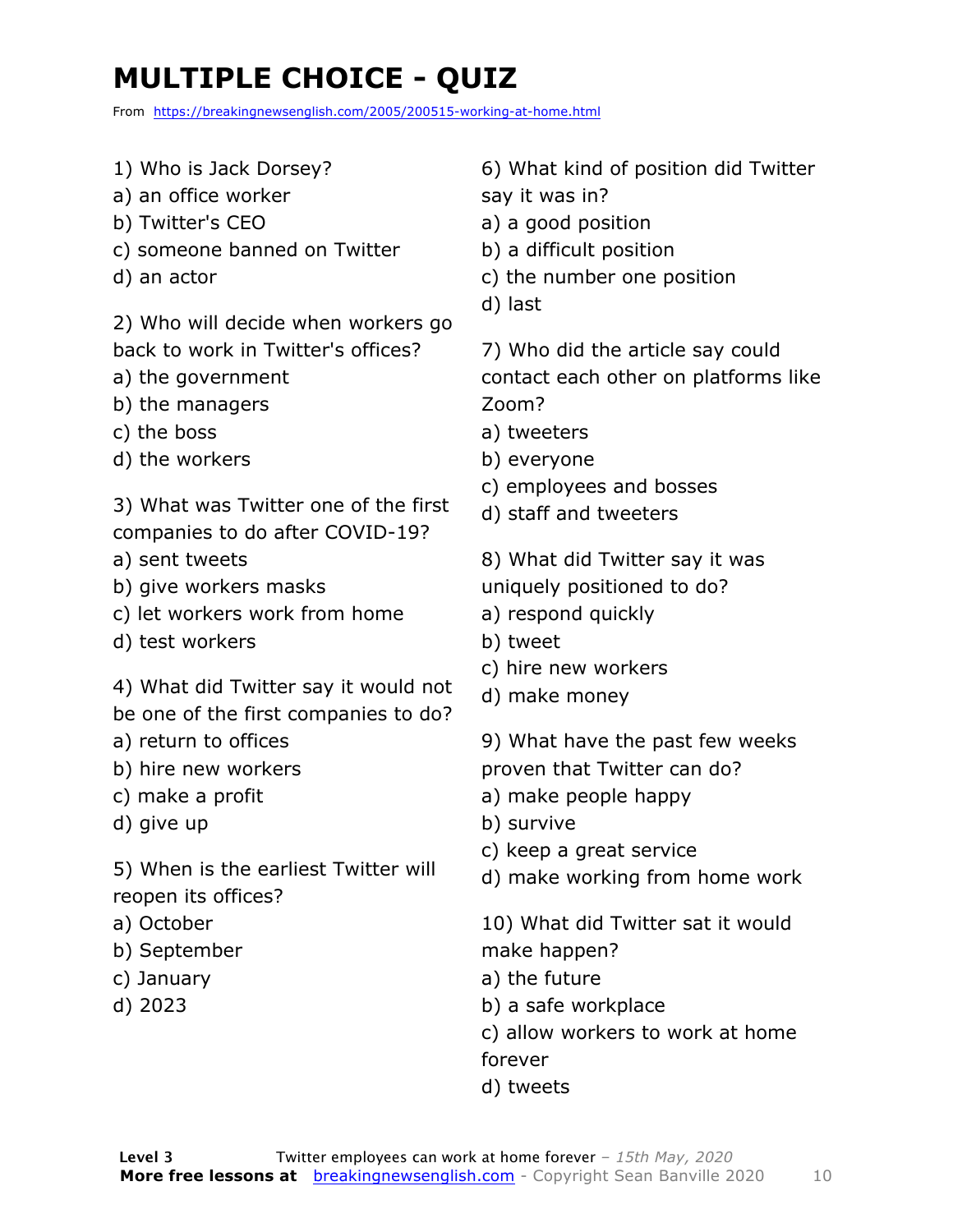### **MULTIPLE CHOICE - QUIZ**

From https://breakingnewsenglish.com/2005/200515-working-at-home.html

- 1) Who is Jack Dorsey?
- a) an office worker
- b) Twitter's CEO
- c) someone banned on Twitter
- d) an actor

2) Who will decide when workers go back to work in Twitter's offices?

- a) the government
- b) the managers
- c) the boss
- d) the workers

3) What was Twitter one of the first companies to do after COVID-19?

- a) sent tweets
- b) give workers masks
- c) let workers work from home
- d) test workers

4) What did Twitter say it would not be one of the first companies to do?

- a) return to offices
- b) hire new workers
- c) make a profit
- d) give up

5) When is the earliest Twitter will reopen its offices?

- a) October
- b) September
- c) January
- d) 2023

6) What kind of position did Twitter say it was in?

- a) a good position
- b) a difficult position
- c) the number one position
- d) last

7) Who did the article say could contact each other on platforms like Zoom?

- a) tweeters
- b) everyone
- c) employees and bosses
- d) staff and tweeters
- 8) What did Twitter say it was
- uniquely positioned to do?
- a) respond quickly
- b) tweet
- c) hire new workers
- d) make money
- 9) What have the past few weeks
- proven that Twitter can do?
- a) make people happy
- b) survive
- c) keep a great service
- d) make working from home work

10) What did Twitter sat it would make happen?

- a) the future
- b) a safe workplace
- c) allow workers to work at home forever
- d) tweets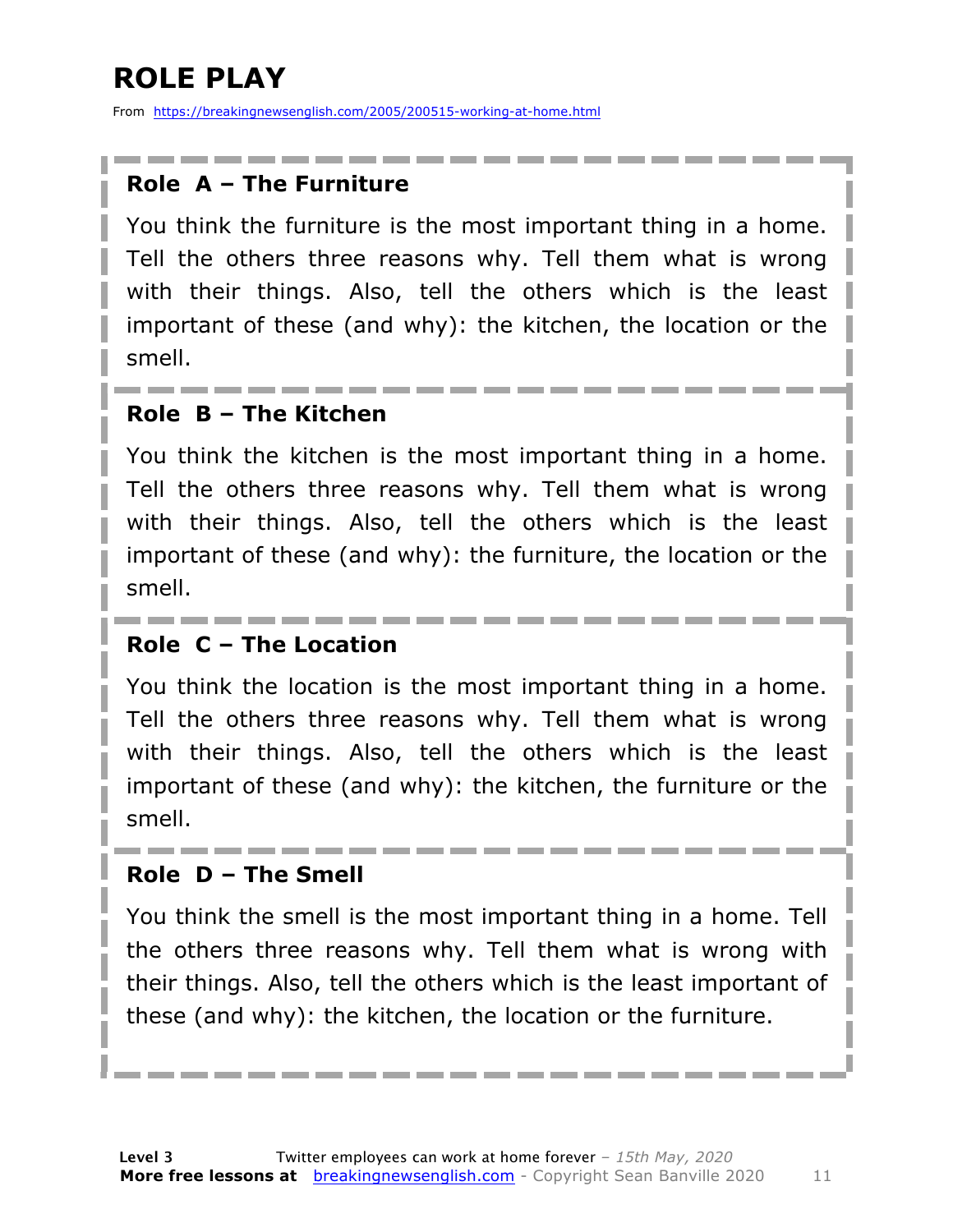### **ROLE PLAY**

From https://breakingnewsenglish.com/2005/200515-working-at-home.html

#### **Role A – The Furniture**

You think the furniture is the most important thing in a home. Tell the others three reasons why. Tell them what is wrong with their things. Also, tell the others which is the least important of these (and why): the kitchen, the location or the smell.

#### **Role B – The Kitchen**

You think the kitchen is the most important thing in a home. Tell the others three reasons why. Tell them what is wrong with their things. Also, tell the others which is the least important of these (and why): the furniture, the location or the smell.

#### **Role C – The Location**

You think the location is the most important thing in a home. Tell the others three reasons why. Tell them what is wrong with their things. Also, tell the others which is the least important of these (and why): the kitchen, the furniture or the smell.

#### **Role D – The Smell**

You think the smell is the most important thing in a home. Tell the others three reasons why. Tell them what is wrong with their things. Also, tell the others which is the least important of these (and why): the kitchen, the location or the furniture.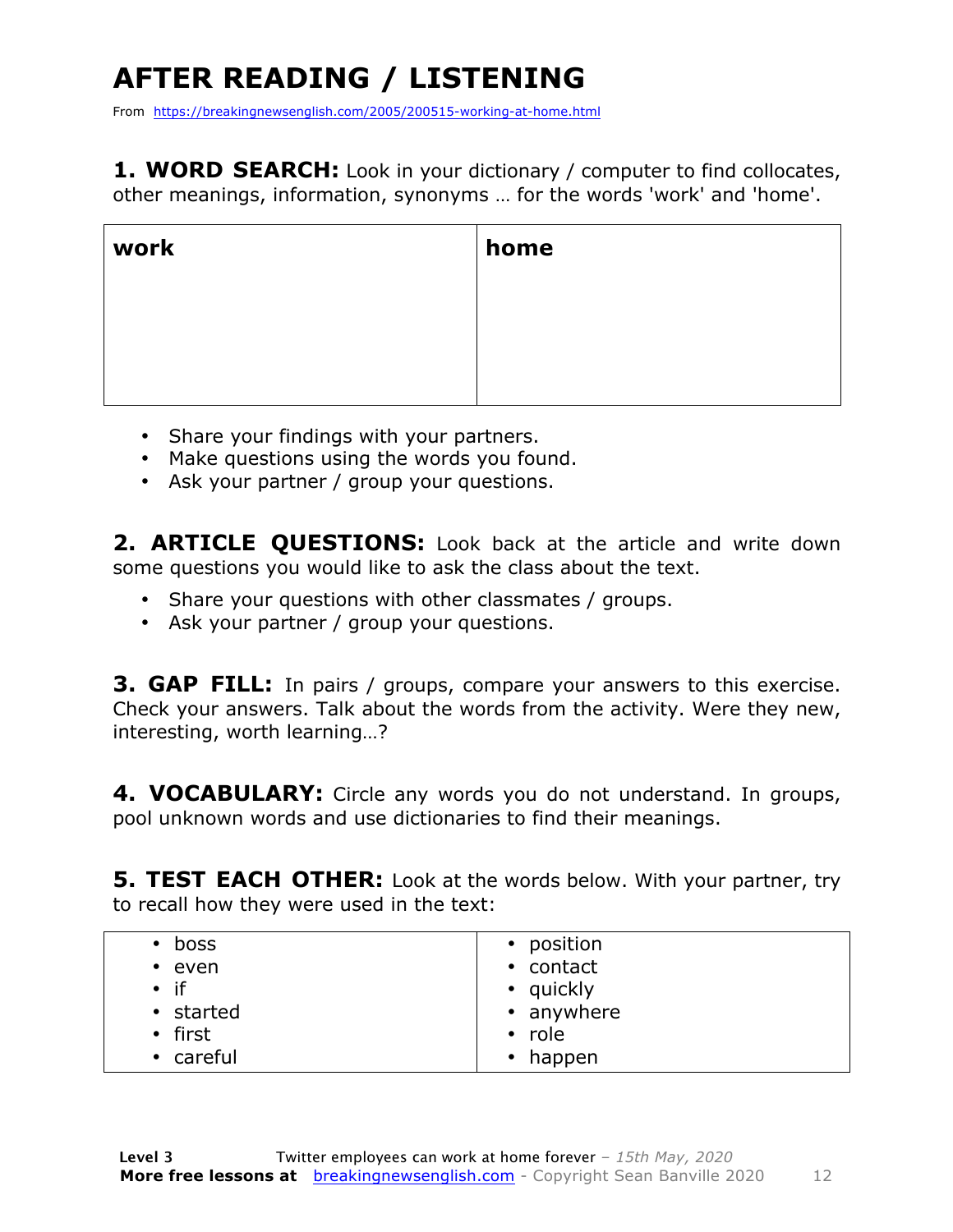## **AFTER READING / LISTENING**

From https://breakingnewsenglish.com/2005/200515-working-at-home.html

**1. WORD SEARCH:** Look in your dictionary / computer to find collocates, other meanings, information, synonyms … for the words 'work' and 'home'.

| work | home |
|------|------|
|      |      |
|      |      |
|      |      |

- Share your findings with your partners.
- Make questions using the words you found.
- Ask your partner / group your questions.

2. **ARTICLE OUESTIONS:** Look back at the article and write down some questions you would like to ask the class about the text.

- Share your questions with other classmates / groups.
- Ask your partner / group your questions.

**3. GAP FILL:** In pairs / groups, compare your answers to this exercise. Check your answers. Talk about the words from the activity. Were they new, interesting, worth learning…?

**4. VOCABULARY:** Circle any words you do not understand. In groups, pool unknown words and use dictionaries to find their meanings.

**5. TEST EACH OTHER:** Look at the words below. With your partner, try to recall how they were used in the text:

| boss         | • position          |
|--------------|---------------------|
| $\cdot$ even | • contact           |
| $\bullet$ if | • quickly           |
| • started    | • anywhere          |
| • first      | $\cdot$ role        |
| • careful    | happen<br>$\bullet$ |
|              |                     |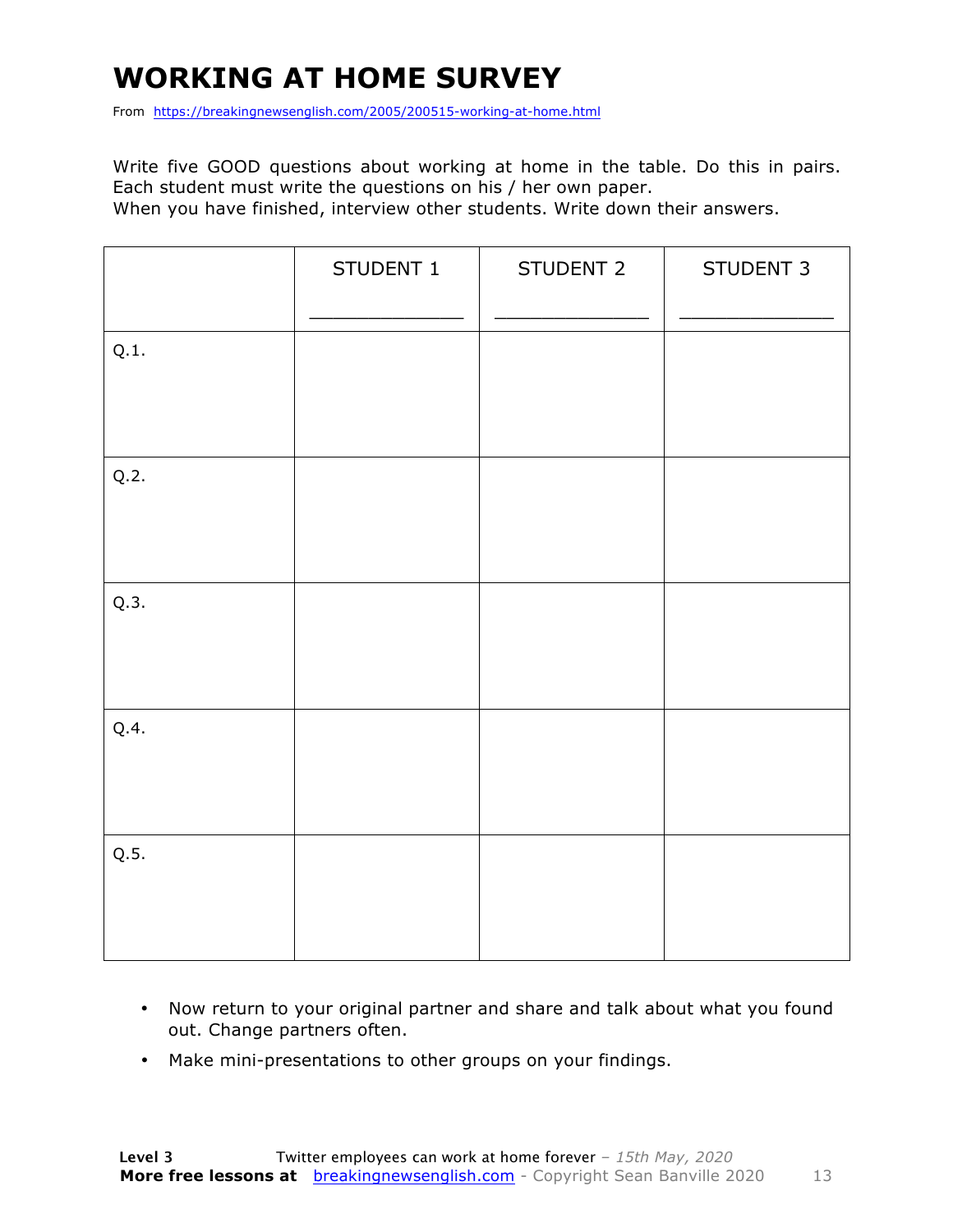### **WORKING AT HOME SURVEY**

From https://breakingnewsenglish.com/2005/200515-working-at-home.html

Write five GOOD questions about working at home in the table. Do this in pairs. Each student must write the questions on his / her own paper.

When you have finished, interview other students. Write down their answers.

|      | STUDENT 1 | STUDENT 2 | STUDENT 3 |
|------|-----------|-----------|-----------|
| Q.1. |           |           |           |
| Q.2. |           |           |           |
| Q.3. |           |           |           |
| Q.4. |           |           |           |
| Q.5. |           |           |           |

- Now return to your original partner and share and talk about what you found out. Change partners often.
- Make mini-presentations to other groups on your findings.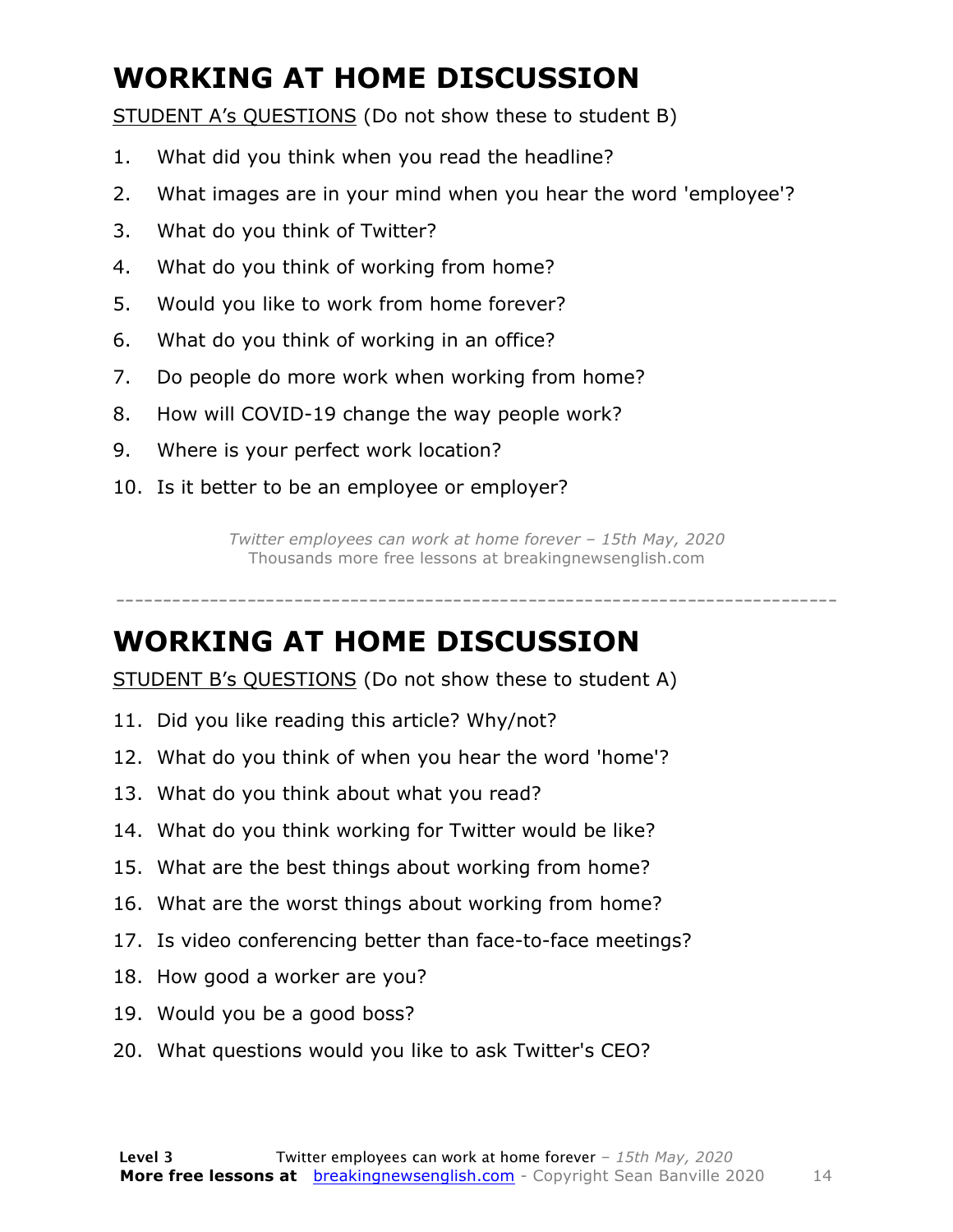### **WORKING AT HOME DISCUSSION**

STUDENT A's QUESTIONS (Do not show these to student B)

- 1. What did you think when you read the headline?
- 2. What images are in your mind when you hear the word 'employee'?
- 3. What do you think of Twitter?
- 4. What do you think of working from home?
- 5. Would you like to work from home forever?
- 6. What do you think of working in an office?
- 7. Do people do more work when working from home?
- 8. How will COVID-19 change the way people work?
- 9. Where is your perfect work location?
- 10. Is it better to be an employee or employer?

*Twitter employees can work at home forever – 15th May, 2020* Thousands more free lessons at breakingnewsenglish.com

-----------------------------------------------------------------------------

#### **WORKING AT HOME DISCUSSION**

STUDENT B's QUESTIONS (Do not show these to student A)

- 11. Did you like reading this article? Why/not?
- 12. What do you think of when you hear the word 'home'?
- 13. What do you think about what you read?
- 14. What do you think working for Twitter would be like?
- 15. What are the best things about working from home?
- 16. What are the worst things about working from home?
- 17. Is video conferencing better than face-to-face meetings?
- 18. How good a worker are you?
- 19. Would you be a good boss?
- 20. What questions would you like to ask Twitter's CEO?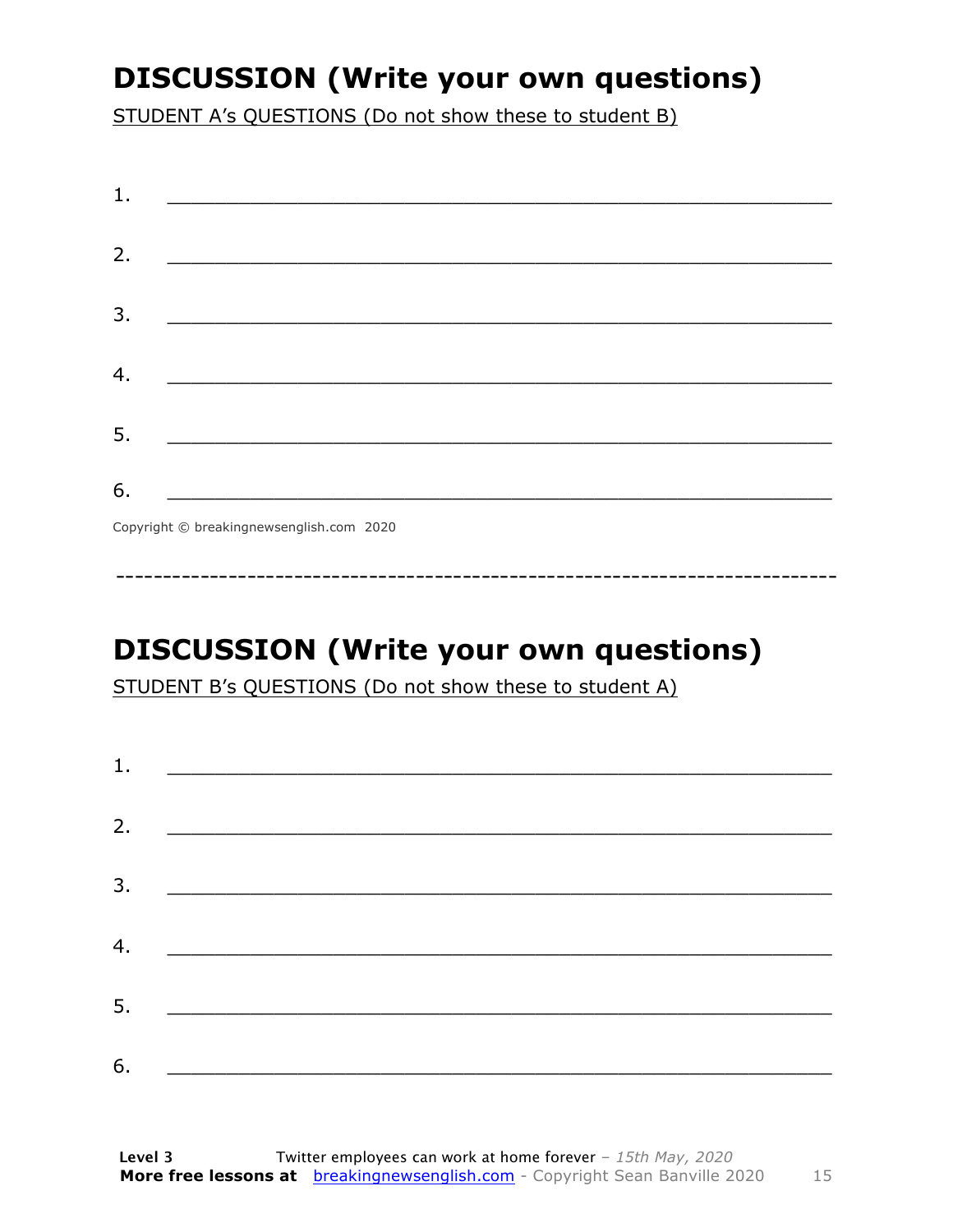### **DISCUSSION (Write your own questions)**

STUDENT A's QUESTIONS (Do not show these to student B)

| 1. |                                          |
|----|------------------------------------------|
|    |                                          |
| 2. |                                          |
|    |                                          |
| 3. |                                          |
|    |                                          |
| 4. |                                          |
|    |                                          |
| 5. |                                          |
|    |                                          |
| 6. |                                          |
|    | Copyright © breakingnewsenglish.com 2020 |

### **DISCUSSION (Write your own questions)**

STUDENT B's QUESTIONS (Do not show these to student A)

| 1. | <u> Alexandria de la contrada de la contrada de la contrada de la contrada de la contrada de la contrada de la c</u> |  |  |
|----|----------------------------------------------------------------------------------------------------------------------|--|--|
|    |                                                                                                                      |  |  |
| 2. |                                                                                                                      |  |  |
| 3. |                                                                                                                      |  |  |
| 4. |                                                                                                                      |  |  |
|    |                                                                                                                      |  |  |
| 5. |                                                                                                                      |  |  |
| 6. |                                                                                                                      |  |  |
|    |                                                                                                                      |  |  |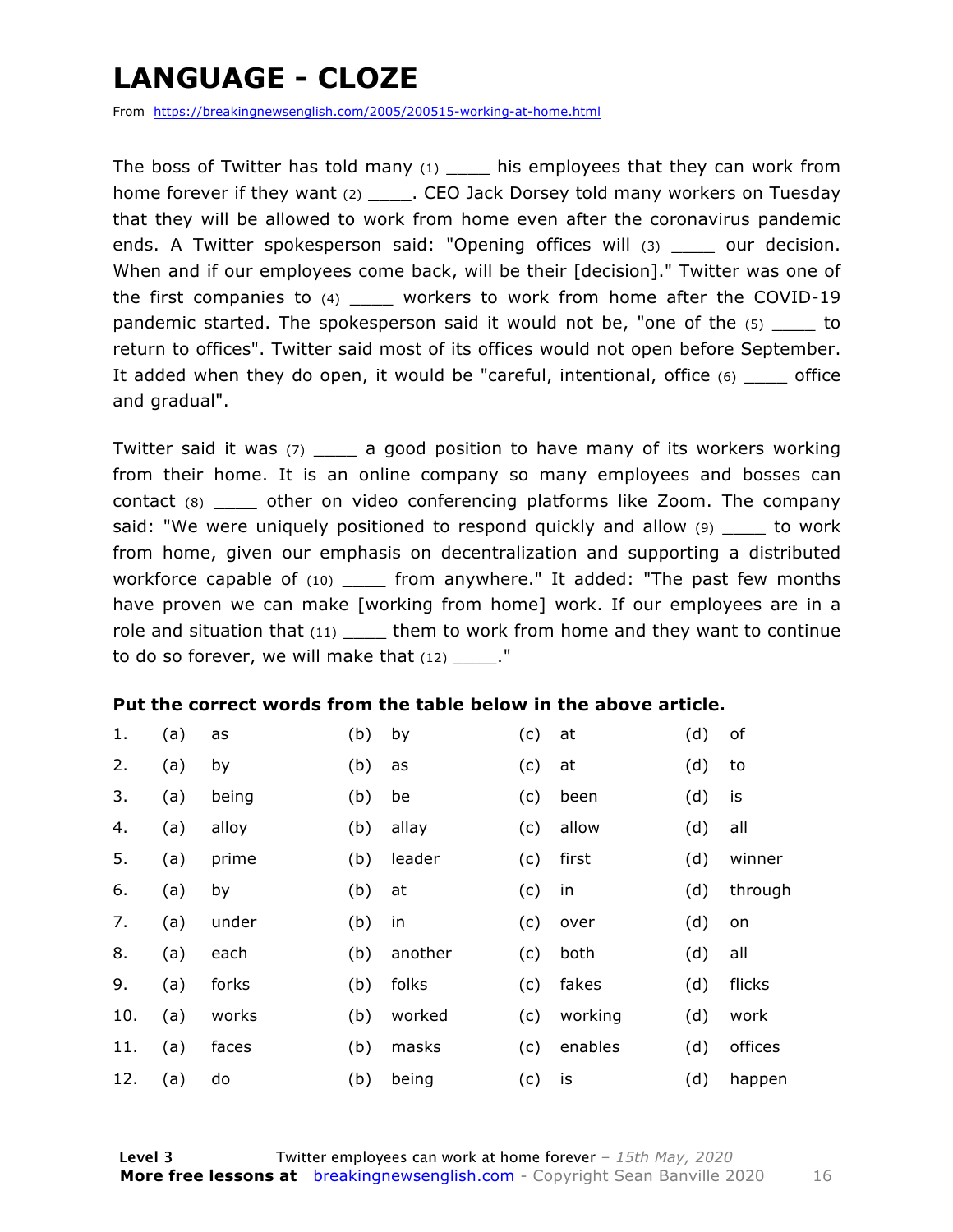### **LANGUAGE - CLOZE**

From https://breakingnewsenglish.com/2005/200515-working-at-home.html

The boss of Twitter has told many  $(1)$  his employees that they can work from home forever if they want (2) \_\_\_\_\_\_. CEO Jack Dorsey told many workers on Tuesday that they will be allowed to work from home even after the coronavirus pandemic ends. A Twitter spokesperson said: "Opening offices will (3) our decision. When and if our employees come back, will be their [decision]." Twitter was one of the first companies to (4) workers to work from home after the COVID-19 pandemic started. The spokesperson said it would not be, "one of the  $(5)$  to return to offices". Twitter said most of its offices would not open before September. It added when they do open, it would be "careful, intentional, office (6) \_\_\_\_ office and gradual".

Twitter said it was (7) \_\_\_\_ a good position to have many of its workers working from their home. It is an online company so many employees and bosses can contact (8) \_\_\_\_ other on video conferencing platforms like Zoom. The company said: "We were uniquely positioned to respond quickly and allow (9) to work from home, given our emphasis on decentralization and supporting a distributed workforce capable of (10) \_\_\_\_\_ from anywhere." It added: "The past few months have proven we can make [working from home] work. If our employees are in a role and situation that  $(11)$  them to work from home and they want to continue to do so forever, we will make that  $(12)$  \_\_\_\_."

#### **Put the correct words from the table below in the above article.**

| 1.  | (a) | as    | (b) | by      | (c) | at      | (d) | of      |
|-----|-----|-------|-----|---------|-----|---------|-----|---------|
| 2.  | (a) | by    | (b) | as      | (c) | at      | (d) | to      |
| 3.  | (a) | being | (b) | be      | (c) | been    | (d) | is      |
| 4.  | (a) | alloy | (b) | allay   | (c) | allow   | (d) | all     |
| 5.  | (a) | prime | (b) | leader  | (c) | first   | (d) | winner  |
| 6.  | (a) | by    | (b) | at      | (c) | in      | (d) | through |
| 7.  | (a) | under | (b) | in      | (c) | over    | (d) | on      |
| 8.  | (a) | each  | (b) | another | (c) | both    | (d) | all     |
| 9.  | (a) | forks | (b) | folks   | (c) | fakes   | (d) | flicks  |
| 10. | (a) | works | (b) | worked  | (c) | working | (d) | work    |
| 11. | (a) | faces | (b) | masks   | (c) | enables | (d) | offices |
| 12. | (a) | do    | (b) | being   | (c) | is      | (d) | happen  |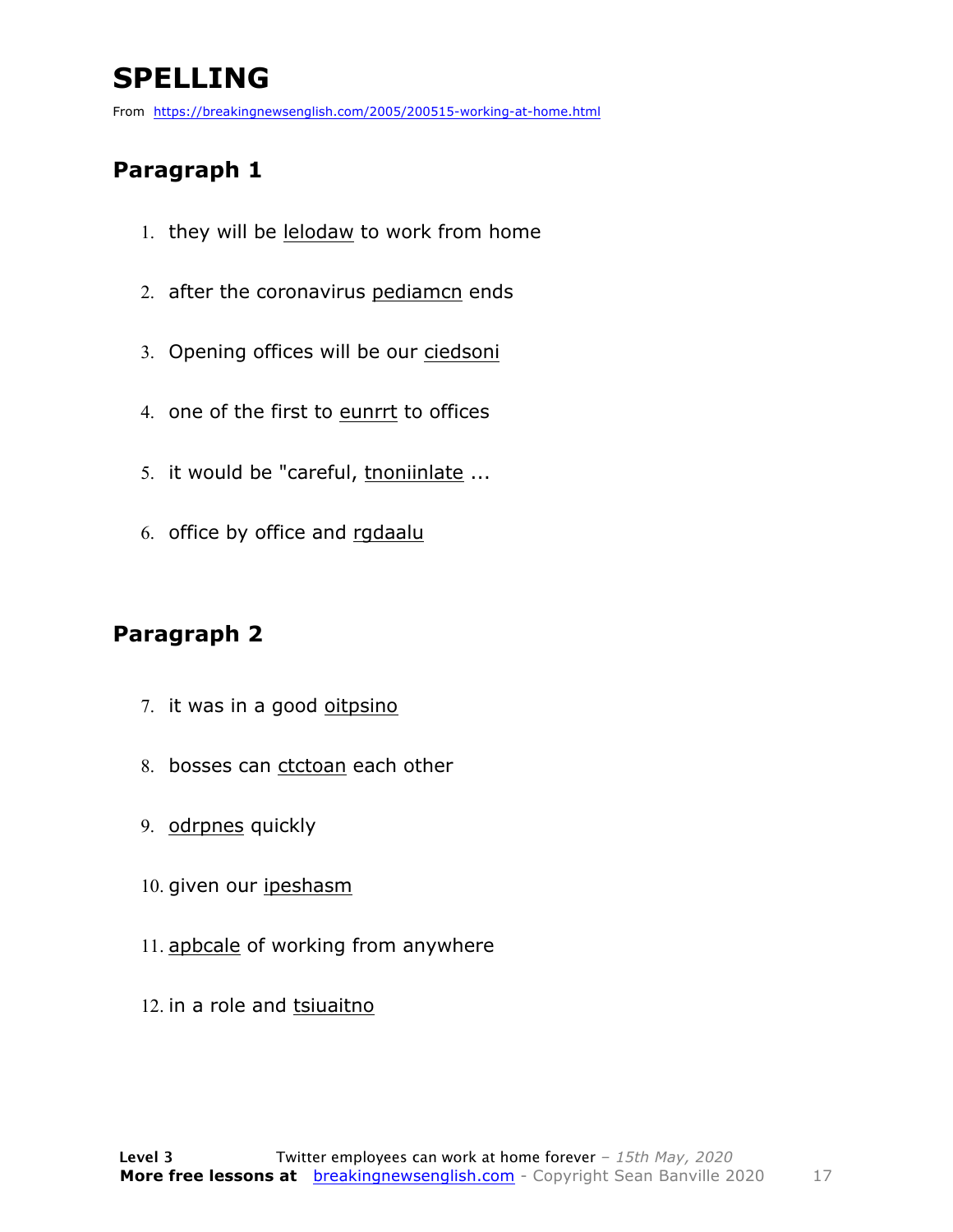### **SPELLING**

From https://breakingnewsenglish.com/2005/200515-working-at-home.html

#### **Paragraph 1**

- 1. they will be lelodaw to work from home
- 2. after the coronavirus pediamcn ends
- 3. Opening offices will be our ciedsoni
- 4. one of the first to eunrrt to offices
- 5. it would be "careful, tnoniinlate ...
- 6. office by office and rgdaalu

#### **Paragraph 2**

- 7. it was in a good oitpsino
- 8. bosses can ctctoan each other
- 9. odrpnes quickly
- 10. given our ipeshasm
- 11. apbcale of working from anywhere
- 12. in a role and tsiuaitno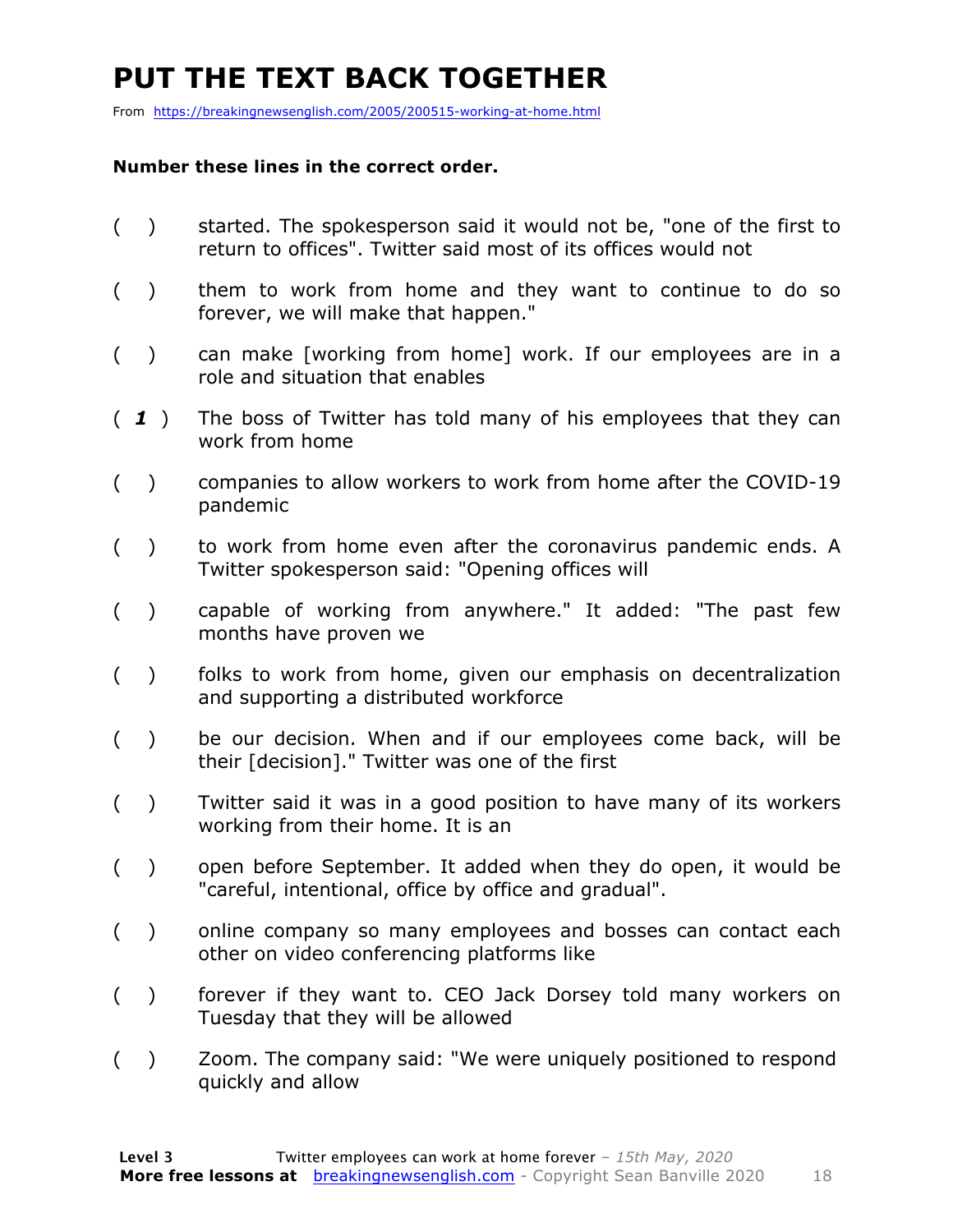### **PUT THE TEXT BACK TOGETHER**

From https://breakingnewsenglish.com/2005/200515-working-at-home.html

#### **Number these lines in the correct order.**

- ( ) started. The spokesperson said it would not be, "one of the first to return to offices". Twitter said most of its offices would not
- ( ) them to work from home and they want to continue to do so forever, we will make that happen."
- ( ) can make [working from home] work. If our employees are in a role and situation that enables
- ( *1* ) The boss of Twitter has told many of his employees that they can work from home
- ( ) companies to allow workers to work from home after the COVID-19 pandemic
- ( ) to work from home even after the coronavirus pandemic ends. A Twitter spokesperson said: "Opening offices will
- ( ) capable of working from anywhere." It added: "The past few months have proven we
- ( ) folks to work from home, given our emphasis on decentralization and supporting a distributed workforce
- ( ) be our decision. When and if our employees come back, will be their [decision]." Twitter was one of the first
- ( ) Twitter said it was in a good position to have many of its workers working from their home. It is an
- ( ) open before September. It added when they do open, it would be "careful, intentional, office by office and gradual".
- ( ) online company so many employees and bosses can contact each other on video conferencing platforms like
- ( ) forever if they want to. CEO Jack Dorsey told many workers on Tuesday that they will be allowed
- ( ) Zoom. The company said: "We were uniquely positioned to respond quickly and allow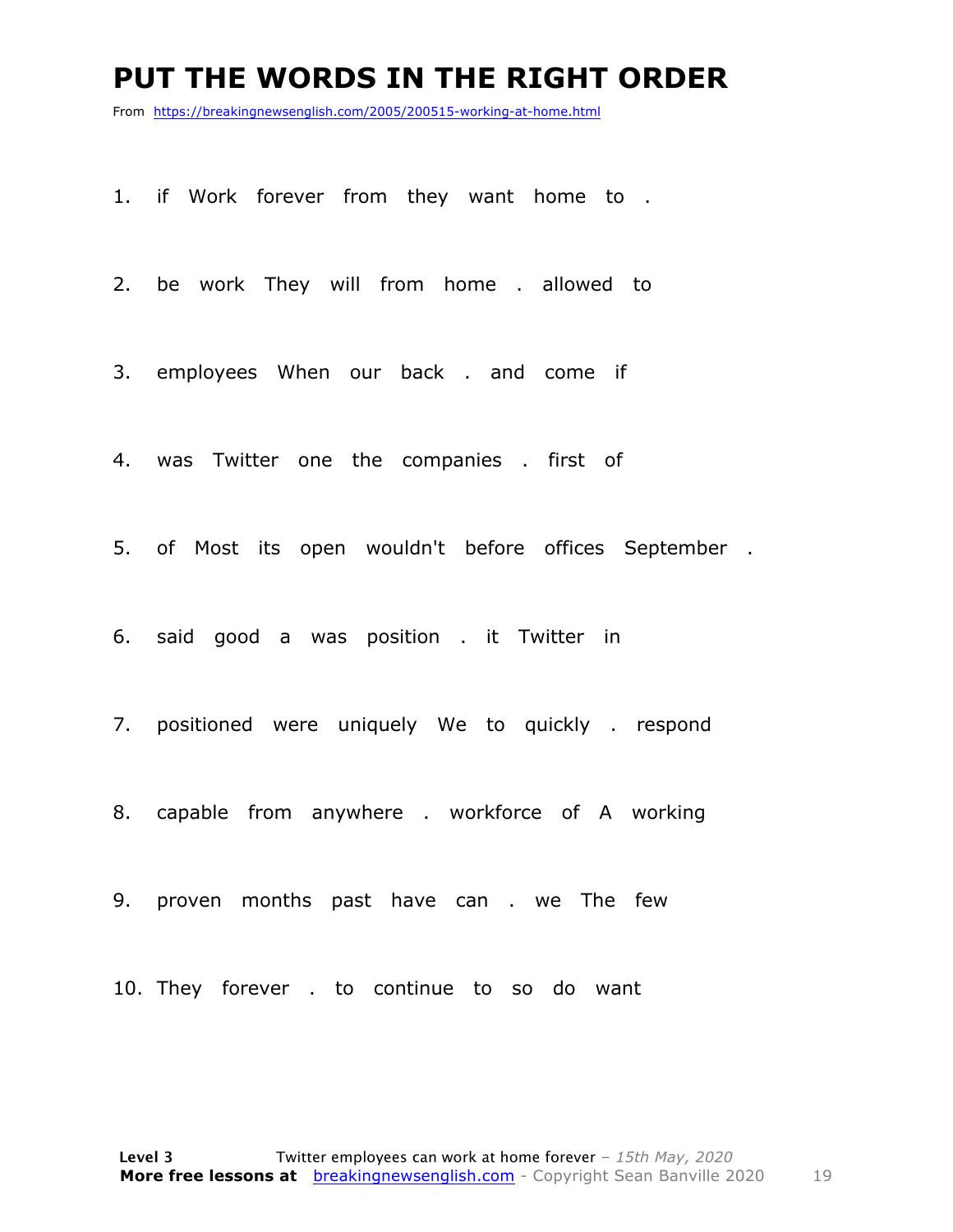#### **PUT THE WORDS IN THE RIGHT ORDER**

From https://breakingnewsenglish.com/2005/200515-working-at-home.html

1. if Work forever from they want home to .

2. be work They will from home . allowed to

3. employees When our back . and come if

4. was Twitter one the companies . first of

5. of Most its open wouldn't before offices September .

6. said good a was position . it Twitter in

7. positioned were uniquely We to quickly . respond

8. capable from anywhere . workforce of A working

9. proven months past have can . we The few

10. They forever . to continue to so do want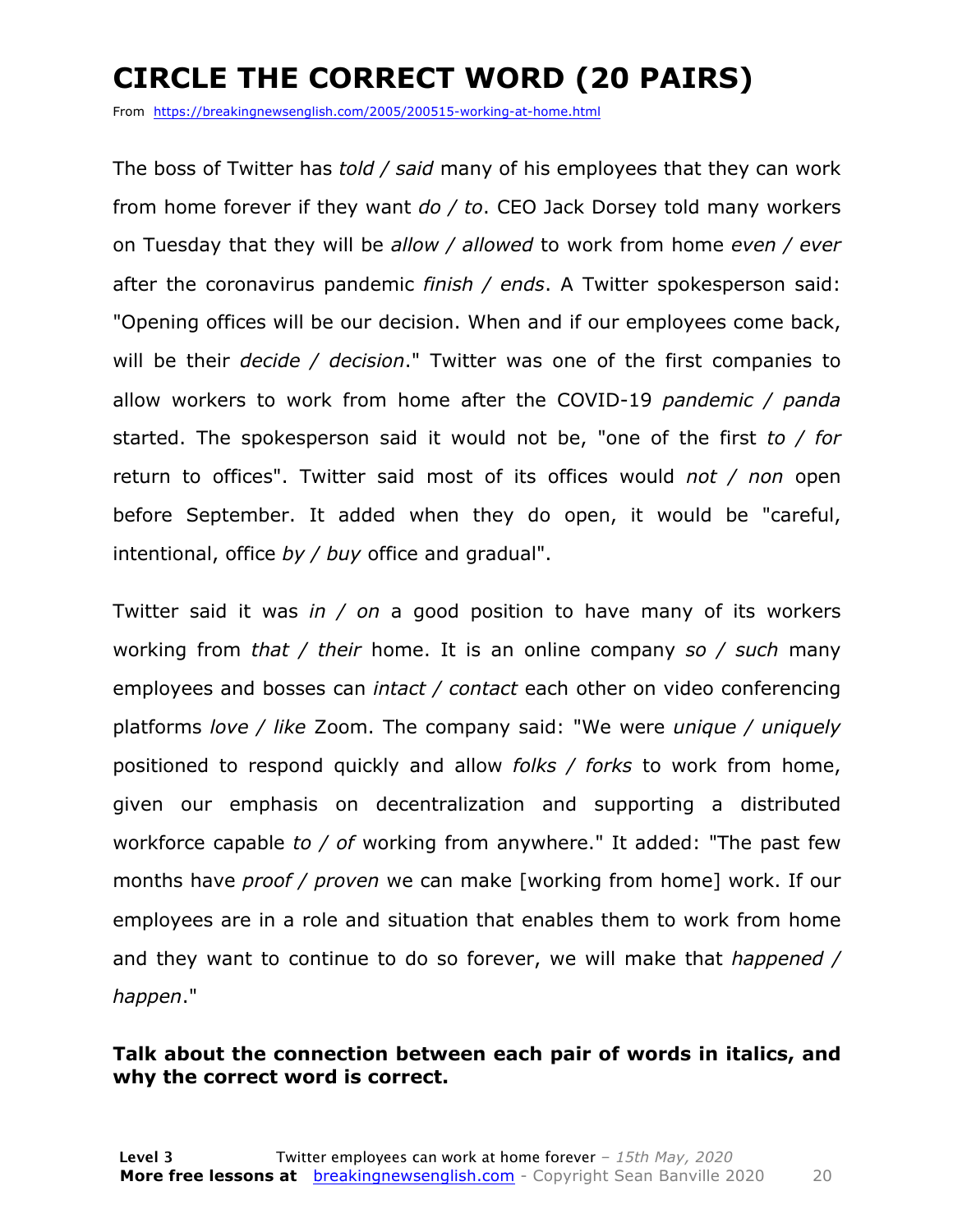### **CIRCLE THE CORRECT WORD (20 PAIRS)**

From https://breakingnewsenglish.com/2005/200515-working-at-home.html

The boss of Twitter has *told / said* many of his employees that they can work from home forever if they want *do / to*. CEO Jack Dorsey told many workers on Tuesday that they will be *allow / allowed* to work from home *even / ever* after the coronavirus pandemic *finish / ends*. A Twitter spokesperson said: "Opening offices will be our decision. When and if our employees come back, will be their *decide / decision*." Twitter was one of the first companies to allow workers to work from home after the COVID-19 *pandemic / panda* started. The spokesperson said it would not be, "one of the first *to / for* return to offices". Twitter said most of its offices would *not / non* open before September. It added when they do open, it would be "careful, intentional, office *by / buy* office and gradual".

Twitter said it was *in / on* a good position to have many of its workers working from *that / their* home. It is an online company *so / such* many employees and bosses can *intact / contact* each other on video conferencing platforms *love / like* Zoom. The company said: "We were *unique / uniquely* positioned to respond quickly and allow *folks / forks* to work from home, given our emphasis on decentralization and supporting a distributed workforce capable *to / of* working from anywhere." It added: "The past few months have *proof / proven* we can make [working from home] work. If our employees are in a role and situation that enables them to work from home and they want to continue to do so forever, we will make that *happened / happen*."

#### **Talk about the connection between each pair of words in italics, and why the correct word is correct.**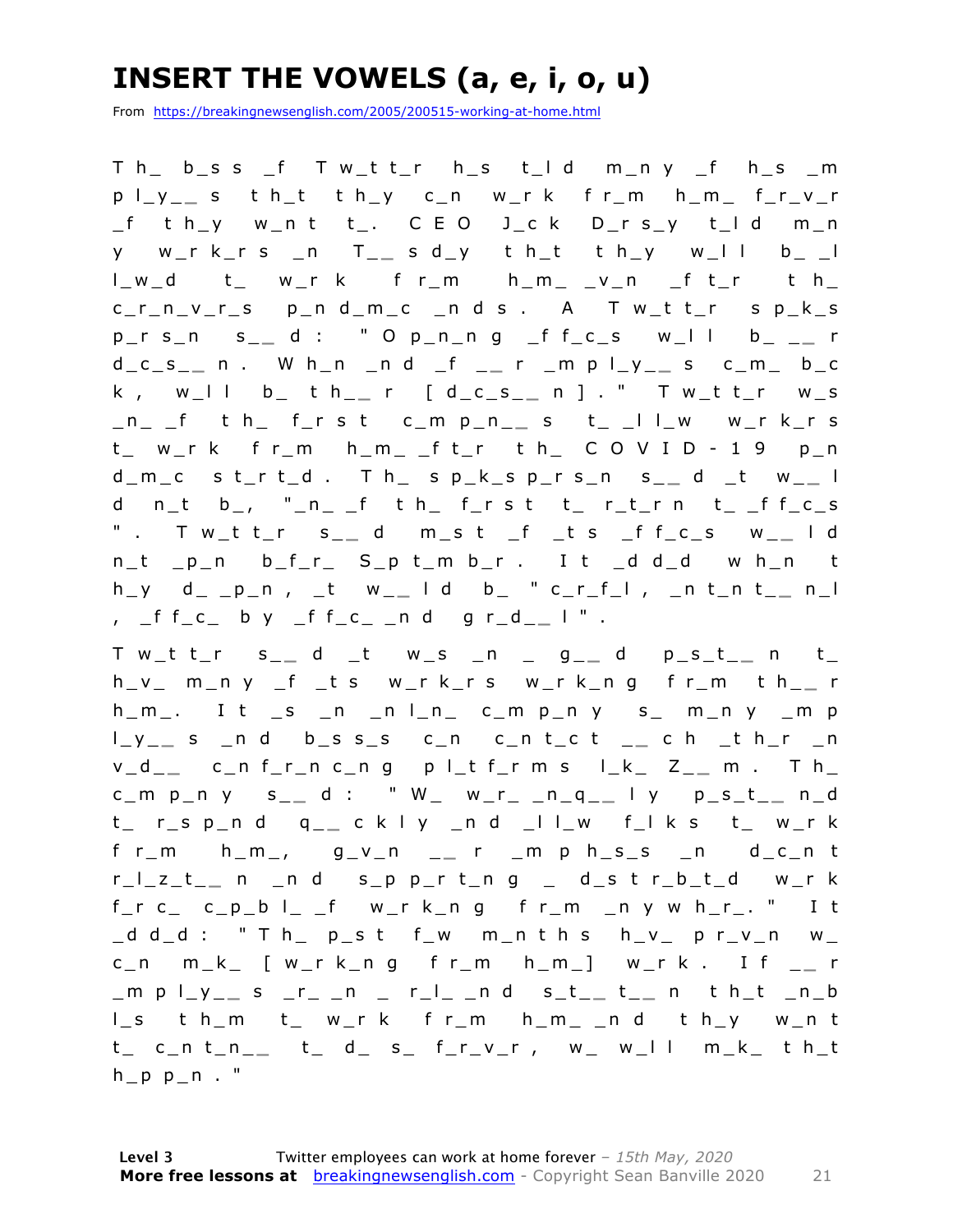### **INSERT THE VOWELS (a, e, i, o, u)**

From https://breakingnewsenglish.com/2005/200515-working-at-home.html

T h\_ b\_s s \_f T w\_t t\_r h\_s t\_l d m\_n y \_f h\_s \_m p l\_y\_ **\_** s t h\_t t h\_y c\_n w\_r k f r\_m h\_m\_ f\_r\_v\_r  $_f$  t h\_y w\_n t t\_. C E O J\_c k D\_r s\_y t\_l d m\_n y w\_r k\_r s \_n T\_ **\_** s d\_y t h\_t t h\_y w\_l l b\_ \_l l\_w\_d t\_ w\_r k f r\_m h\_m\_ \_v\_n \_f t\_r t h\_ c\_r\_n\_v\_r\_s p\_n d\_m\_c \_n d s . A T w\_t t\_r s p\_k\_s p\_r s\_n s\_ **\_** d : " O p\_n\_n g \_f f\_c\_s w\_l l b\_ \_ **\_** r d\_c\_s\_ **\_** n . W h\_n \_n d \_f \_ **\_** r \_m p l\_y\_ **\_** s c\_m\_ b\_c k , w\_l l b\_ t h\_ **\_** r [ d\_c\_s\_ **\_** n ] . " T w\_t t\_r w\_s \_n\_ \_f t h\_ f\_r s t c\_m p\_n\_ **\_** s t\_ \_l l\_w w\_r k\_r s  $t_{-}$  w\_r k f r\_m h\_m\_ \_f t\_r t h\_ C O V I D - 1 9 p\_n d\_m\_c s t\_r t\_d . T h\_ s p\_k\_s p\_r s\_n s\_ **\_** d \_t w\_ **\_** l d n\_t b\_, "\_n\_ \_f t h\_ f\_r s t t\_ r\_t\_r n t\_ \_f f\_c\_s " . T w\_t t\_r s\_ **\_** d m\_s t \_f \_t s \_f f\_c\_s w\_ **\_** l d n\_t \_p\_n b\_f\_r\_ S\_p t\_m b\_r . I t \_d d\_d w h\_n t  $h_y$  d\_ \_p\_n, \_t w\_\_ | d b\_ " c\_r\_f\_l, \_n t\_n t\_\_ n\_l , \_f f\_c\_ b y \_f f\_c\_ \_n d g r\_d\_ **\_** l " .

T w\_t t\_r s\_ **\_** d \_t w\_s \_n \_ g\_ **\_** d p\_s\_t\_ **\_** n t\_ h\_v\_ m\_n y \_f \_t s w\_r k\_r s w\_r k\_n g f r\_m t h\_ **\_** r  $h_{m}$ . It  $_s$   $n_{n}$   $n_{n}$   $c_{m}$   $p_{n}$   $s_{m}$   $m_{n}$   $y_{n}$   $m_{n}$ l\_y\_ **\_** s \_n d b\_s s\_s c\_n c\_n t\_c t \_ **\_** c h \_t h\_r \_n v\_d\_ **\_** c\_n f\_r\_n c\_n g p l\_t f\_r m s l\_k\_ Z\_ **\_** m . T h\_ c\_m p\_n y s\_ **\_** d : " W\_ w\_r\_ \_n\_q\_ **\_** l y p\_s\_t\_ **\_** n\_d t\_ r\_s p\_n d q\_ **\_** c k l y \_n d \_l l\_w f\_l k s t\_ w\_r k f r\_m h\_m\_, g\_v\_n \_ **\_** r \_m p h\_s\_s \_n d\_c\_n t r\_l\_z\_t\_ **\_** n \_n d s\_p p\_r t\_n g \_ d\_s t r\_b\_t\_d w\_r k f\_r c\_ c\_p\_b l\_ \_f w\_r k\_n g f r\_m \_n y w h\_r\_. " I t  $-d-d$  : " T h\_ p\_s t f\_w m\_n t h s h\_v\_ p r\_v\_n w\_ c\_n m\_k\_ [ w\_r k\_n g f r\_m h\_m\_] w\_r k . I f \_ **\_** r \_m p l\_y\_ **\_** s \_r\_ \_n \_ r\_l\_ \_n d s\_t\_ **\_** t \_ **\_** n t h\_t \_n\_b l\_s t h\_m t\_ w\_r k f r\_m h\_m\_ \_n d t h\_y w\_n t t\_ c\_n t\_n\_ **\_** t\_ d\_ s\_ f\_r\_v\_r , w\_ w\_l l m\_k\_ t h\_t  $h$   $p$   $p$   $n$  . "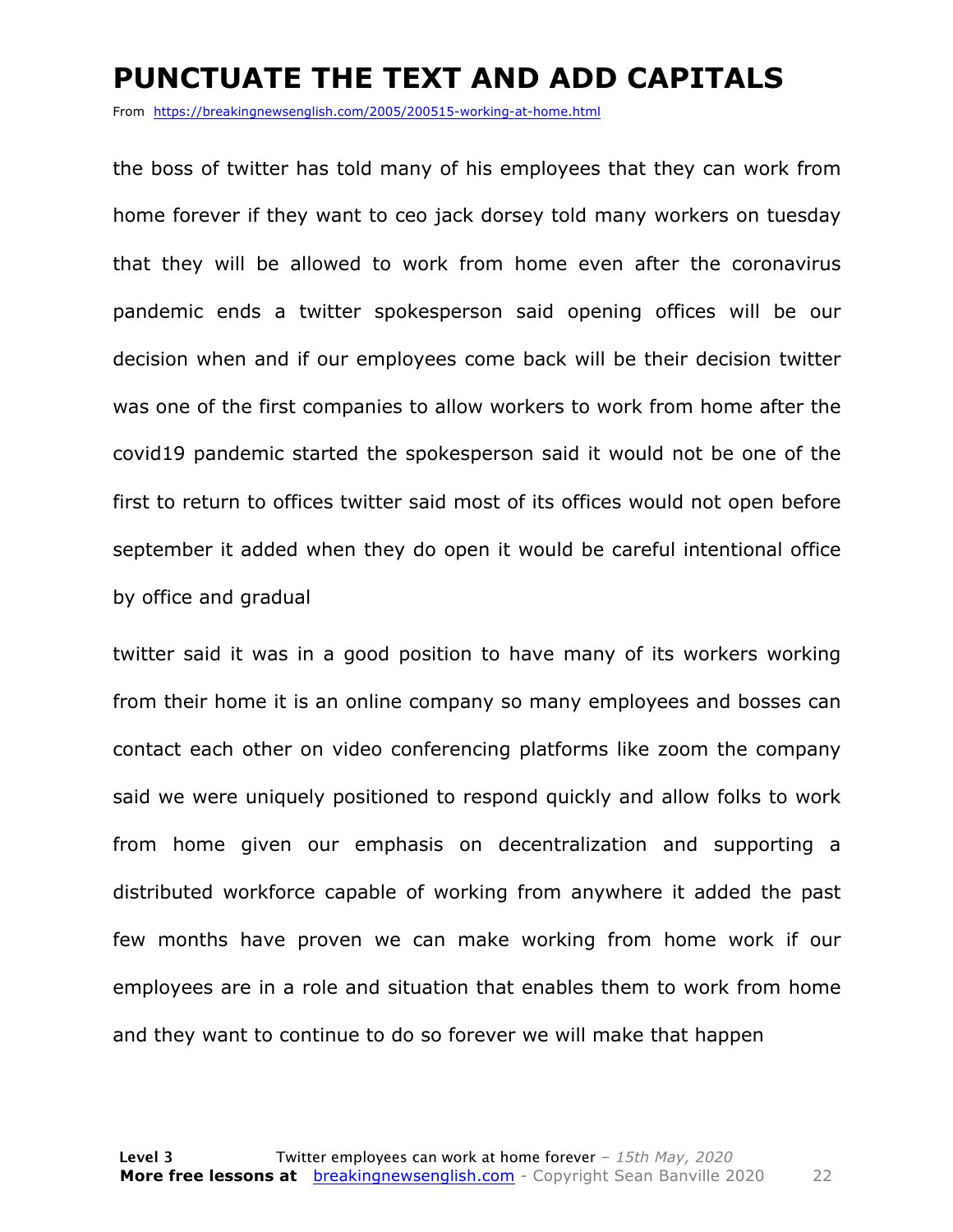#### **PUNCTUATE THE TEXT AND ADD CAPITALS**

From https://breakingnewsenglish.com/2005/200515-working-at-home.html

the boss of twitter has told many of his employees that they can work from home forever if they want to ceo jack dorsey told many workers on tuesday that they will be allowed to work from home even after the coronavirus pandemic ends a twitter spokesperson said opening offices will be our decision when and if our employees come back will be their decision twitter was one of the first companies to allow workers to work from home after the covid19 pandemic started the spokesperson said it would not be one of the first to return to offices twitter said most of its offices would not open before september it added when they do open it would be careful intentional office by office and gradual

twitter said it was in a good position to have many of its workers working from their home it is an online company so many employees and bosses can contact each other on video conferencing platforms like zoom the company said we were uniquely positioned to respond quickly and allow folks to work from home given our emphasis on decentralization and supporting a distributed workforce capable of working from anywhere it added the past few months have proven we can make working from home work if our employees are in a role and situation that enables them to work from home and they want to continue to do so forever we will make that happen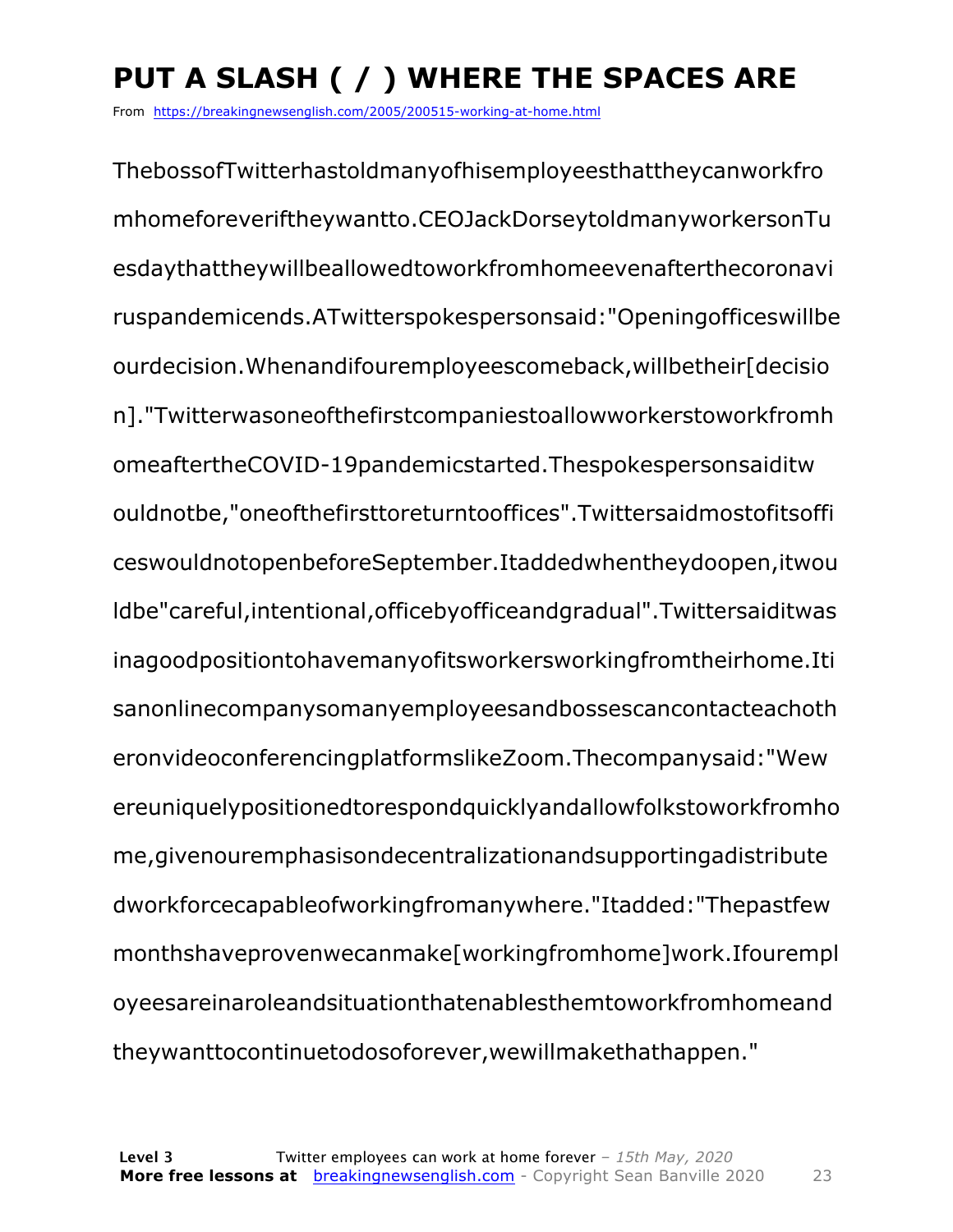### **PUT A SLASH ( / ) WHERE THE SPACES ARE**

From https://breakingnewsenglish.com/2005/200515-working-at-home.html

ThebossofTwitterhastoldmanyofhisemployeesthattheycanworkfro mhomeforeveriftheywantto.CEOJackDorseytoldmanyworkersonTu esdaythattheywillbeallowedtoworkfromhomeevenafterthecoronavi ruspandemicends.ATwitterspokespersonsaid:"Openingofficeswillbe ourdecision.Whenandifouremployeescomeback,willbetheir[decisio n]."Twitterwasoneofthefirstcompaniestoallowworkerstoworkfromh omeaftertheCOVID-19pandemicstarted.Thespokespersonsaiditw ouldnotbe,"oneofthefirsttoreturntooffices".Twittersaidmostofitsoffi ceswouldnotopenbeforeSeptember.Itaddedwhentheydoopen,itwou ldbe"careful,intentional,officebyofficeandgradual".Twittersaiditwas inagoodpositiontohavemanyofitsworkersworkingfromtheirhome.Iti sanonlinecompanysomanyemployeesandbossescancontacteachoth eronvideoconferencingplatformslikeZoom.Thecompanysaid:"Wew ereuniquelypositionedtorespondquicklyandallowfolkstoworkfromho me,givenouremphasisondecentralizationandsupportingadistribute dworkforcecapableofworkingfromanywhere."Itadded:"Thepastfew monthshaveprovenwecanmake[workingfromhome]work.Ifourempl oyeesareinaroleandsituationthatenablesthemtoworkfromhomeand theywanttocontinuetodosoforever,wewillmakethathappen."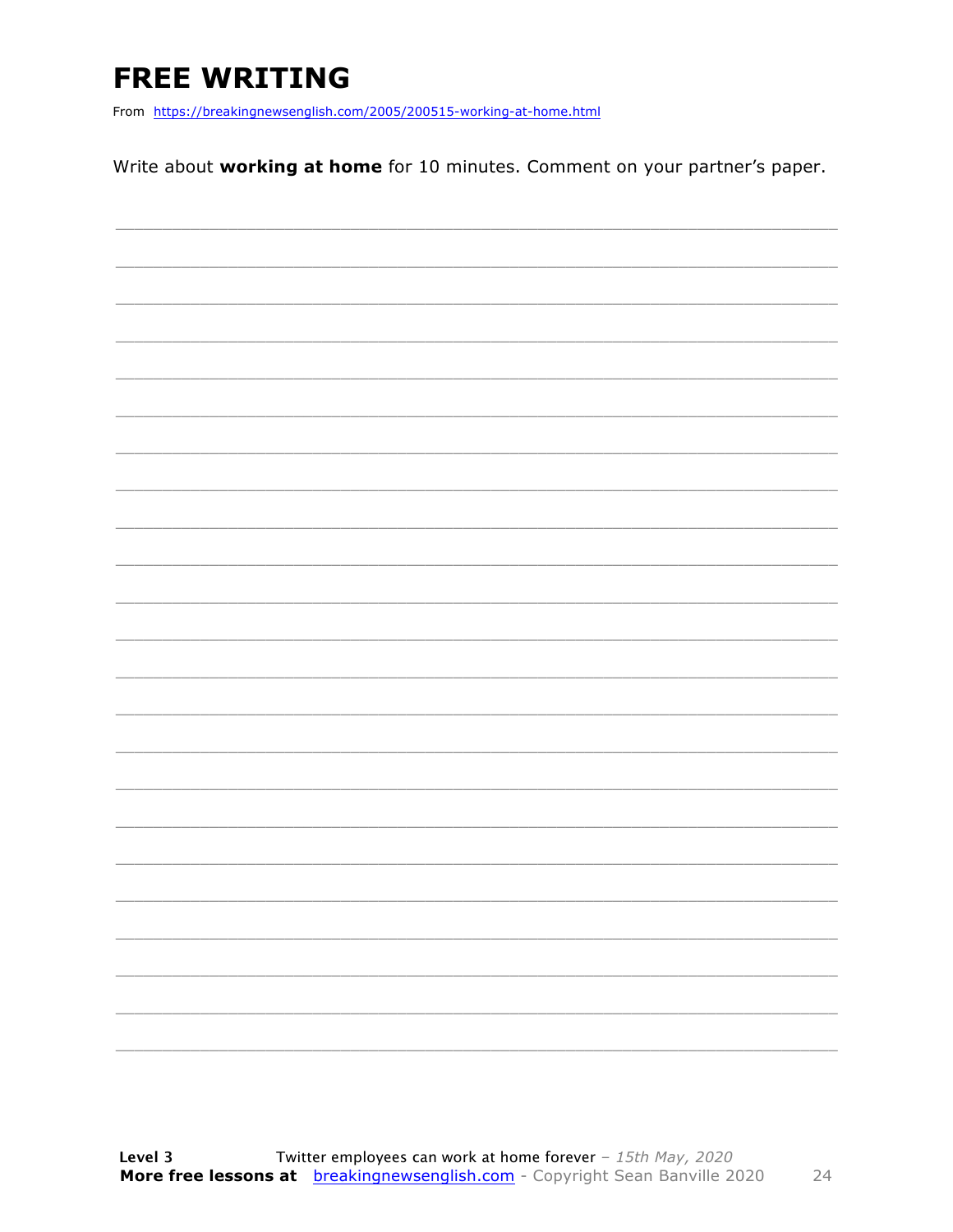### **FREE WRITING**

From https://breakingnewsenglish.com/2005/200515-working-at-home.html

Write about working at home for 10 minutes. Comment on your partner's paper.

|  | $\overline{\phantom{0}}$ |
|--|--------------------------|
|  | -                        |
|  |                          |
|  | -                        |
|  |                          |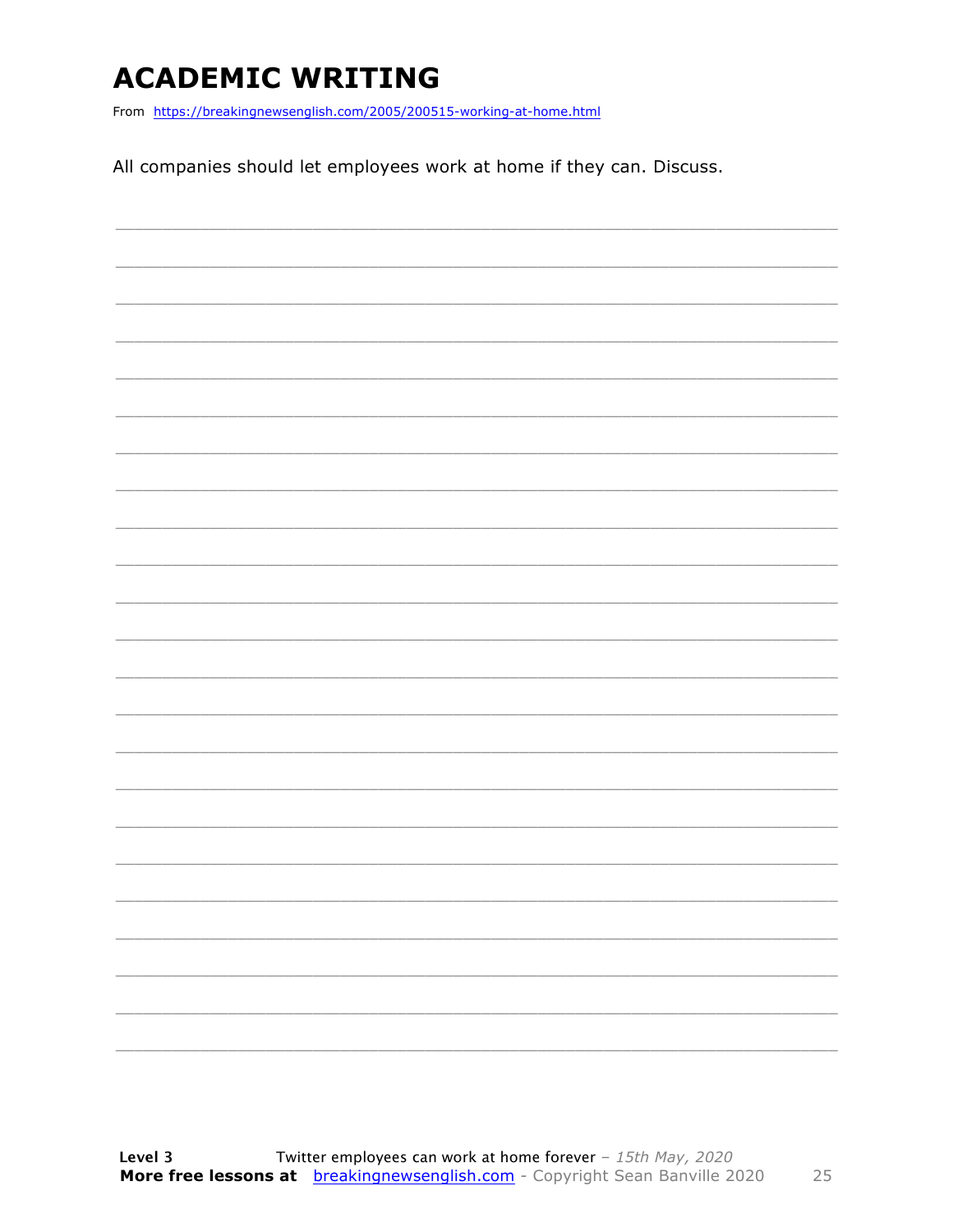### **ACADEMIC WRITING**

From https://breakingnewsenglish.com/2005/200515-working-at-home.html

All companies should let employees work at home if they can. Discuss.

|                          |  |  | $\frac{1}{2} \left( \frac{1}{2} \right) \left( \frac{1}{2} \right) \left( \frac{1}{2} \right) \left( \frac{1}{2} \right) \left( \frac{1}{2} \right) \left( \frac{1}{2} \right) \left( \frac{1}{2} \right) \left( \frac{1}{2} \right) \left( \frac{1}{2} \right) \left( \frac{1}{2} \right) \left( \frac{1}{2} \right) \left( \frac{1}{2} \right) \left( \frac{1}{2} \right) \left( \frac{1}{2} \right) \left( \frac{1}{2} \right) \left( \frac{1}{2} \right) \left( \frac$ |
|--------------------------|--|--|----------------------------------------------------------------------------------------------------------------------------------------------------------------------------------------------------------------------------------------------------------------------------------------------------------------------------------------------------------------------------------------------------------------------------------------------------------------------------|
|                          |  |  |                                                                                                                                                                                                                                                                                                                                                                                                                                                                            |
|                          |  |  | _______                                                                                                                                                                                                                                                                                                                                                                                                                                                                    |
| $\overline{\phantom{a}}$ |  |  | $\frac{1}{2} \left( \frac{1}{2} \right) \left( \frac{1}{2} \right) \left( \frac{1}{2} \right) \left( \frac{1}{2} \right) \left( \frac{1}{2} \right) \left( \frac{1}{2} \right) \left( \frac{1}{2} \right) \left( \frac{1}{2} \right) \left( \frac{1}{2} \right) \left( \frac{1}{2} \right) \left( \frac{1}{2} \right) \left( \frac{1}{2} \right) \left( \frac{1}{2} \right) \left( \frac{1}{2} \right) \left( \frac{1}{2} \right) \left( \frac{1}{2} \right) \left( \frac$ |
|                          |  |  |                                                                                                                                                                                                                                                                                                                                                                                                                                                                            |
|                          |  |  |                                                                                                                                                                                                                                                                                                                                                                                                                                                                            |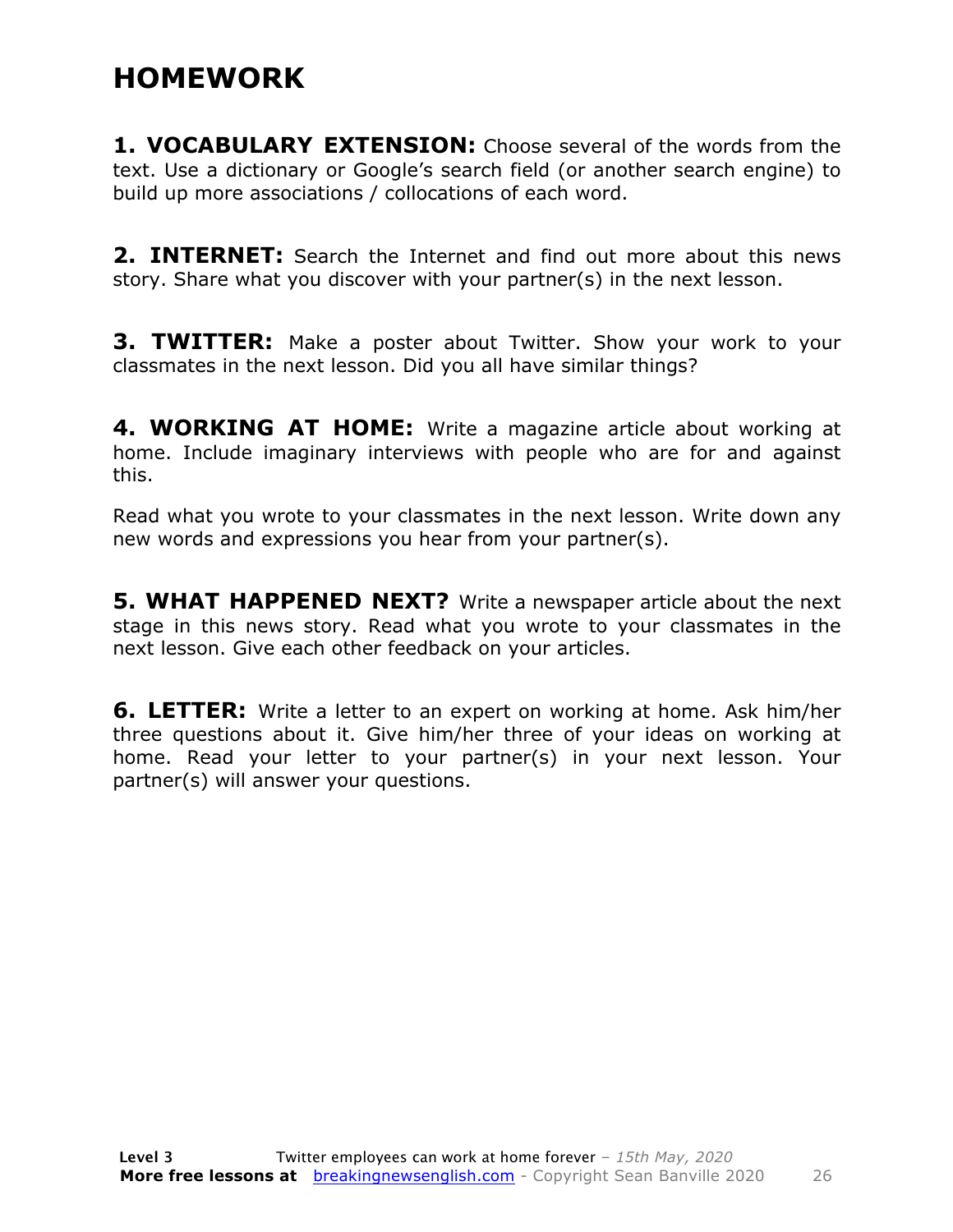#### **HOMEWORK**

**1. VOCABULARY EXTENSION:** Choose several of the words from the text. Use a dictionary or Google's search field (or another search engine) to build up more associations / collocations of each word.

**2. INTERNET:** Search the Internet and find out more about this news story. Share what you discover with your partner(s) in the next lesson.

**3. TWITTER:** Make a poster about Twitter. Show your work to your classmates in the next lesson. Did you all have similar things?

**4. WORKING AT HOME:** Write a magazine article about working at home. Include imaginary interviews with people who are for and against this.

Read what you wrote to your classmates in the next lesson. Write down any new words and expressions you hear from your partner(s).

**5. WHAT HAPPENED NEXT?** Write a newspaper article about the next stage in this news story. Read what you wrote to your classmates in the next lesson. Give each other feedback on your articles.

**6. LETTER:** Write a letter to an expert on working at home. Ask him/her three questions about it. Give him/her three of your ideas on working at home. Read your letter to your partner(s) in your next lesson. Your partner(s) will answer your questions.